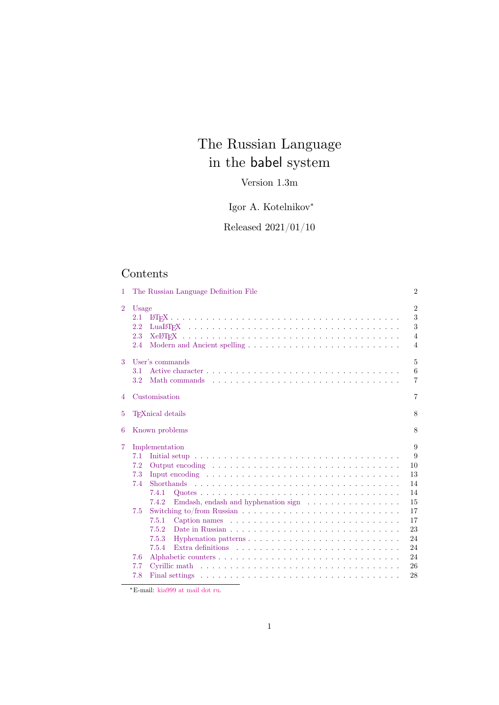# The Russian Language in the babel system

## Version 1.3m

Igor A. Kotelnikov*<sup>∗</sup>*

Released 2021/01/10

## Contents

| 1              | The Russian Language Definition File                                                                                                                                                                                                                                                                                                                                                                                                                                                                                                             | $\overline{2}$                                               |
|----------------|--------------------------------------------------------------------------------------------------------------------------------------------------------------------------------------------------------------------------------------------------------------------------------------------------------------------------------------------------------------------------------------------------------------------------------------------------------------------------------------------------------------------------------------------------|--------------------------------------------------------------|
| $\overline{2}$ | Usage<br>2.1<br>2.2<br>2.3<br>2.4                                                                                                                                                                                                                                                                                                                                                                                                                                                                                                                | $\overline{2}$<br>3<br>3<br>$\overline{4}$<br>$\overline{4}$ |
| 3              | User's commands<br>3.1<br>3.2                                                                                                                                                                                                                                                                                                                                                                                                                                                                                                                    | 5<br>6<br>$\overline{7}$                                     |
| 4              | Customisation                                                                                                                                                                                                                                                                                                                                                                                                                                                                                                                                    | $\overline{7}$                                               |
| 5              | T <sub>F</sub> Xnical details                                                                                                                                                                                                                                                                                                                                                                                                                                                                                                                    | 8                                                            |
| 6              | Known problems                                                                                                                                                                                                                                                                                                                                                                                                                                                                                                                                   | 8                                                            |
|                |                                                                                                                                                                                                                                                                                                                                                                                                                                                                                                                                                  |                                                              |
| 7              | Implementation<br>7.1<br>7.2<br>7.3<br>Input encoding $\dots \dots \dots \dots \dots \dots \dots \dots \dots \dots \dots \dots \dots$<br>7.4<br>7.4.1<br>7.4.2<br>7.5<br>7.5.1<br>Caption names $\ldots \ldots \ldots \ldots \ldots \ldots \ldots \ldots \ldots \ldots$<br>7.5.2<br>Hyphenation patterns $\ldots$ , $\ldots$ , $\ldots$ , $\ldots$ , $\ldots$ , $\ldots$ , $\ldots$ , $\ldots$ , $\ldots$<br>7.5.3<br>7.5.4<br>7.6<br>7.7<br>Cyrillic math $\ldots \ldots \ldots \ldots \ldots \ldots \ldots \ldots \ldots \ldots \ldots \ldots$ |                                                              |

*∗*E-mail: [kia999 at mail dot ru.](#page-22-1)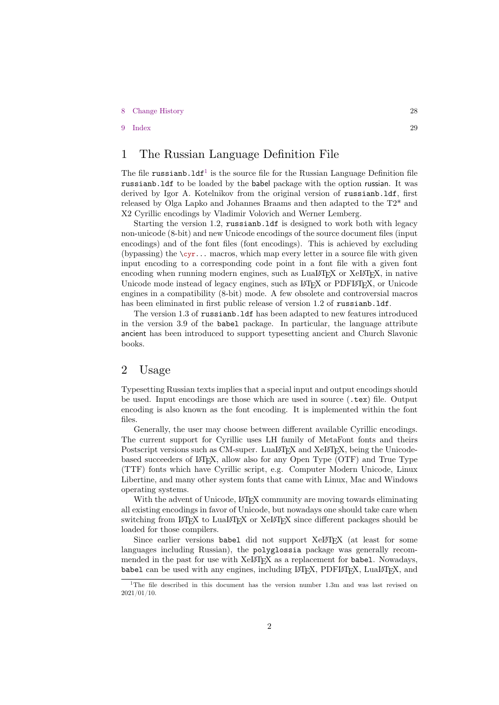### 8 Change History 28

9 Index 29

## [1 The Rus](#page-27-0)sian Language Definition File

<span id="page-1-0"></span>[The file](#page-28-0) russianb.  $1df^1$  is the source file for the Russian Language Definition file russianb.ldf to be loaded by the babel package with the option russian. It was derived by Igor A. Kotelnikov from the original version of russianb.ldf, first released by Olga Lapko and Johannes Braams and then adapted to the T2\* and X2 Cyrillic encodings [by](#page-1-2) Vladimir Volovich and Werner Lemberg.

Starting the version 1.2, russianb.ldf is designed to work both with legacy non-unicode (8-bit) and new Unicode encodings of the source document files (input encodings) and of the font files (font encodings). This is achieved by excluding (by passing) the  $\csc r$ ... macros, which map every letter in a source file with given input encoding to a corresponding code point in a font file with a given font encoding when running modern engines, such as  $\text{Luaf}(\mathbb{F}_K)$  or  $\text{Ke}(\mathbb{F}_K)$ , in native Unicode mode instead of legacy engines, such as LAT<sub>EX</sub> or PDFLATEX, or Unicode engines in a compatibility (8-bit) mode. A few obsolete and controversial macros has been eliminated in first public release of version 1.2 of russianb.ldf.

The version 1.3 of russianb.ldf has been adapted to new features introduced in the version 3.9 of the babel package. In particular, the language attribute ancient has been introduced to support typesetting ancient and Church Slavonic books.

### 2 Usage

<span id="page-1-1"></span>Typesetting Russian texts implies that a special input and output encodings should be used. Input encodings are those which are used in source (.tex) file. Output encoding is also known as the font encoding. It is implemented within the font files.

Generally, the user may choose between different available Cyrillic encodings. The current support for Cyrillic uses LH family of MetaFont fonts and theirs Postscript versions such as CM-super. LuaLAT<sub>EX</sub> and XeLAT<sub>EX</sub>, being the Unicodebased succeeders of LAT<sub>EX</sub>, allow also for any Open Type (OTF) and True Type (TTF) fonts which have Cyrillic script, e.g. Computer Modern Unicode, Linux Libertine, and many other system fonts that came with Linux, Mac and Windows operating systems.

With the advent of Unicode, LATEX community are moving towards eliminating all existing encodings in favor of Unicode, but nowadays one should take care when switching from LATEX to LuaLATEX or XeLATEX since different packages should be loaded for those compilers.

Since earlier versions babel did not support XeLAT<sub>E</sub>X (at least for some languages including Russian), the polyglossia package was generally recommended in the past for use with XeLT<sub>F</sub>X as a replacement for babel. Nowadays, babel can be used with any engines, including  $\angle$ FFX, PDF $\angle$ FFX, Lua $\angle$ FFX, and

<span id="page-1-2"></span><sup>&</sup>lt;sup>1</sup>The file described in this document has the version number 1.3m and was last revised on 2021/01/10.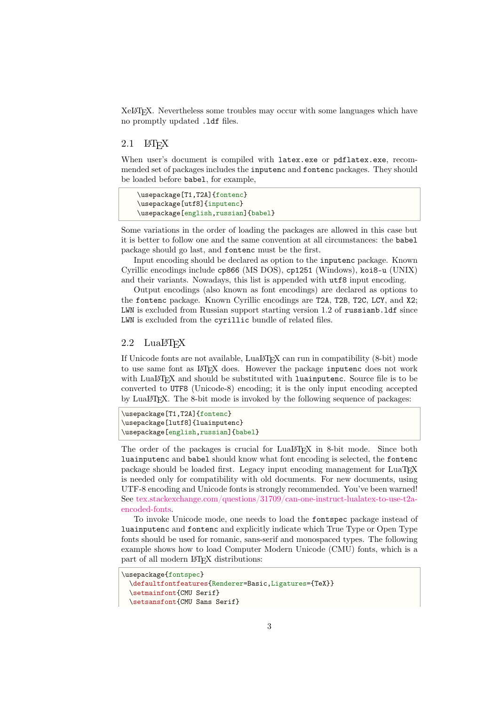XeLATEX. Nevertheless some troubles may occur with some languages which have no promptly updated .ldf files.

### $2.1$  LAT<sub>E</sub>X

When user's document is compiled with latex.exe or pdflatex.exe, recommended set of packages includes the inputenc and fontenc packages. They should be loaded before babel, for example,

```
\usepackage[T1,T2A]{fontenc}
\usepackage[utf8]{inputenc}
\usepackage[english,russian]{babel}
```
Some variations in the order of loading the packages are allowed in this case but it is better to follow one and the same convention at all circumstances: the babel package should go last, and fontenc must be the first.

Input encoding should be declared as option to the inputenc package. Known Cyrillic encodings include cp866 (MS DOS), cp1251 (Windows), koi8-u (UNIX) and their variants. Nowadays, this list is appended with utf8 input encoding.

Output encodings (also known as font encodings) are declared as options to the fontenc package. Known Cyrillic encodings are T2A, T2B, T2C, LCY, and X2; LWN is excluded from Russian support starting version 1.2 of russianb.ldf since LWN is excluded from the cyrillic bundle of related files.

### 2.2 LuaLAT<sub>F</sub>X

<span id="page-2-1"></span>If Unicode fonts are not available, LuaLATEX can run in compatibility (8-bit) mode to use same font as LATEX does. However the package inputence does not work with LuaLATEX and should be substituted with luainputenc. Source file is to be converted to UTF8 (Unicode-8) encoding; it is the only input encoding accepted by LuaLATEX. The 8-bit mode is invoked by the following sequence of packages:

```
\usepackage[T1,T2A]{fontenc}
\usepackage[lutf8]{luainputenc}
\usepackage[english,russian]{babel}
```
The order of the packages is crucial for LuaLAT<sub>EX</sub> in 8-bit mode. Since both luainputenc and babel should know what font encoding is selected, the fontenc package should be loaded first. Legacy input encoding management for LuaTEX is needed only for compatibility with old documents. For new documents, using UTF-8 encoding and Unicode fonts is strongly recommended. You've been warned! See tex.stackexchange.com/questions/31709/can-one-instruct-lualatex-to-use-t2aencoded-fonts.

To invoke Unicode mode, one needs to load the fontspec package instead of luainputenc and fontenc and explicitly indicate which True Type or Open Type font[s should be used for romanic, sans-serif and monospaced types. The following](http://tex.stackexchange.com/questions/31709/can-one-instruct-lualatex-to-use-t2a-encoded-fonts) [example show](http://tex.stackexchange.com/questions/31709/can-one-instruct-lualatex-to-use-t2a-encoded-fonts)s how to load Computer Modern Unicode (CMU) fonts, which is a part of all modern LAT<sub>EX</sub> distributions:

```
\usepackage{fontspec}
```

```
\defaultfontfeatures{Renderer=Basic,Ligatures={TeX}}
\setmainfont{CMU Serif}
\setsansfont{CMU Sans Serif}
```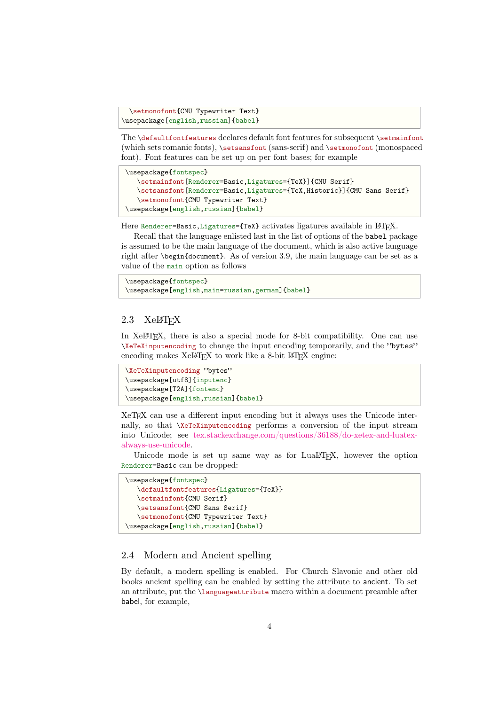```
\setmonofont{CMU Typewriter Text}
\usepackage[english,russian]{babel}
```
The \defaultfontfeatures declares default font features for subsequent \setmainfont (which sets romanic fonts), \setsansfont (sans-serif) and \setmonofont (monospaced font). Font features can be set up on per font bases; for example

```
\usepackage{fontspec}
   \setmainfont[Renderer=Basic,Ligatures={TeX}]{CMU Serif}
   \setsansfont[Renderer=Basic,Ligatures={TeX,Historic}]{CMU Sans Serif}
   \setmonofont{CMU Typewriter Text}
\usepackage[english,russian]{babel}
```
Here Renderer=Basic, Ligatures={TeX} activates ligatures available in LATEX.

Recall that the language enlisted last in the list of options of the babel package is assumed to be the main language of the document, which is also active language right after \begin{document}. As of version 3.9, the main language can be set as a value of the main option as follows

```
\usepackage{fontspec}
\usepackage[english,main=russian,german]{babel}
```
### $2.3$  XeLAT<sub>F</sub>X

In XeLATEX, there is also a special mode for 8-bit compatibility. One can use \XeTeXinputencoding to change the input encoding temporarily, and the "bytes" encoding makes XeLAT<sub>E</sub>X to work like a 8-bit LAT<sub>E</sub>X engine:

```
\XeTeXinputencoding "bytes"
\usepackage[utf8]{inputenc}
\usepackage[T2A]{fontenc}
\usepackage[english,russian]{babel}
```
XeTEX can use a different input encoding but it always uses the Unicode internally, so that \XeTeXinputencoding performs a conversion of the input stream into Unicode; see tex.stackexchange.com/questions/36188/do-xetex-and-luatexalways-use-unicode.

Unicode mode is set up same way as for LuaLAT<sub>E</sub>X, however the option Renderer=Basic can be dropped:

```
\usepackage{fontspec}
   \defaultfontfeatures{Ligatures={TeX}}
   \setmainfont{CMU Serif}
   \setsansfont{CMU Sans Serif}
   \setmonofont{CMU Typewriter Text}
\usepackage[english,russian]{babel}
```
### 2.4 Modern and Ancient spelling

<span id="page-3-1"></span>By default, a modern spelling is enabled. For Church Slavonic and other old books ancient spelling can be enabled by setting the attribute to ancient. To set an attribute, put the \languageattribute macro within a document preamble after babel, for example,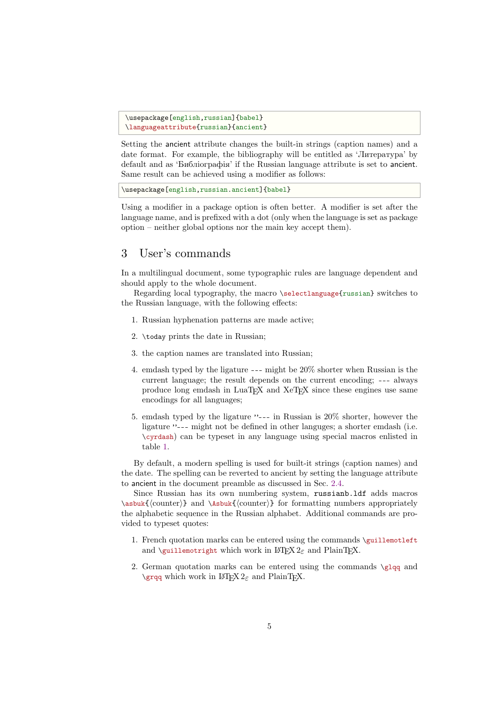```
\usepackage[english,russian]{babel}
\languageattribute{russian}{ancient}
```
Setting the ancient attribute changes the built-in strings (caption names) and a date format. For example, the bibliography will be entitled as 'Литература' by default and as 'Библіографія' if the Russian language attribute is set to ancient. Same result can be achieved using a modifier as follows:

\usepackage[english,russian.ancient]{babel}

Using a modifier in a package option is often better. A modifier is set after the language name, and is prefixed with a dot (only when the language is set as package option – neither global options nor the main key accept them).

## 3 User's commands

In a multilingual document, some typographic rules are language dependent and should apply to the whole document.

<span id="page-4-0"></span>Regarding local typography, the macro \selectlanguage{russian} switches to the Russian language, with the following effects:

- 1. Russian hyphenation patterns are made active;
- 2. \today prints the date in Russian;
- 3. the caption names are translated into Russian;
- 4. emdash typed by the ligature --- might be 20% shorter when Russian is the current language; the result depends on the current encoding; --- always produce long emdash in LuaTEX and XeTEX since these engines use same encodings for all languages;
- 5. emdash typed by the ligature "--- in Russian is 20% shorter, however the ligature "--- might not be defined in other languges; a shorter emdash (i.e. \cyrdash) can be typeset in any language using special macros enlisted in table 1.

By default, a modern spelling is used for built-it strings (caption names) and the date. The spelling can be reverted to ancient by setting the language attribute to ancient i[n](#page-31-0) the document preamble as discussed in Sec. 2.4.

Since Russian has its own numbering system, russianb.ldf adds macros \asbuk{*⟨*counter*⟩*} and \Asbuk{*⟨*counter*⟩*} for formatting numbers appropriately the alphabetic sequence in the Russian alphabet. Additional commands are provided to typeset quotes:

- 1. French quotation marks can be entered using the commands \guillemotleft and \guillemotright which work in  $\text{LTFX } 2\varepsilon$  and PlainTFX.
- 2. German quotation marks can be entered using the commands  $\gtrsim 2$ \grqq which work in L<sup>4T</sup>F<sub>X</sub> 2<sub>ε</sub> and PlainT<sub>F</sub>X.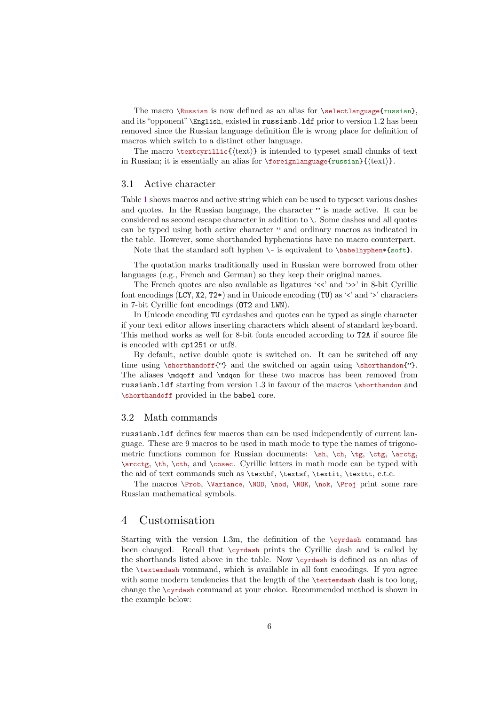The macro \Russian is now defined as an alias for \selectlanguage{russian}, and its "opponent" \English, existed in russianb.ldf prior to version 1.2 has been removed since the Russian language definition file is wrong place for definition of macros which switch to a distinct other language.

The macro \textcyrillic{ $\text{text}$ } is intended to typeset small chunks of text in Russian; it is essentially an alias for \foreignlanguage{russian}{*⟨*text*⟩*}.

### 3.1 Active character

<span id="page-5-0"></span>Table 1 shows macros and active string which can be used to typeset various dashes and quotes. In the Russian language, the character " is made active. It can be considered as second escape character in addition to \. Some dashes and all quotes can be typed using both active character " and ordinary macros as indicated in the ta[b](#page-31-0)le. However, some shorthanded hyphenations have no macro counterpart.

Note that the standard soft hyphen  $\iota$  is equivalent to  $\b$ babelhyphen\*{soft}.

The quotation marks traditionally used in Russian were borrowed from other languages (e.g., French and German) so they keep their original names.

The French quotes are also available as ligatures '<<' and '>>' in 8-bit Cyrillic font encodings (LCY, X2, T2\*) and in Unicode encoding (TU) as '<' and '>' characters in 7-bit Cyrillic font encodings (OT2 and LWN).

In Unicode encoding TU cyrdashes and quotes can be typed as single character if your text editor allows inserting characters which absent of standard keyboard. This method works as well for 8-bit fonts encoded according to T2A if source file is encoded with cp1251 or utf8.

By default, active double quote is switched on. It can be switched off any time using \shorthandoff{"} and the switched on again using \shorthandon{"}. The aliases \mdqoff and \mdqon for these two macros has been removed from russianb.ldf starting from version 1.3 in favour of the macros \shorthandon and \shorthandoff provided in the babel core.

### 3.2 Math commands

<span id="page-5-1"></span>russianb.ldf defines few macros than can be used independently of current language. These are 9 macros to be used in math mode to type the names of trigonometric functions common for Russian documents:  $\sh, \ch, \te, \te, \csc, \arctg,$ \arcctg, \th, \cth, and \cosec. Cyrillic letters in math mode can be typed with the aid of text commands such as \textbf, \textsf, \textit, \texttt, e.t.c.

The macros \Prob, \Variance, \NOD, \nod, \NOK, \nok, \Proj print some rare Russian mathematical symbols.

### 4 Customisation

Starting with the version 1.3m, the definition of the \cyrdash command has been changed. Recall that \cyrdash prints the Cyrillic dash and is called by the shorthands listed above in the table. Now \cyrdash is defined as an alias of the \textemdash vommand, which is available in all font encodings. If you agree with some modern tendencies that the length of the \textemdash dash is too long, change the \cyrdash command at your choice. Recommended method is shown in the example below: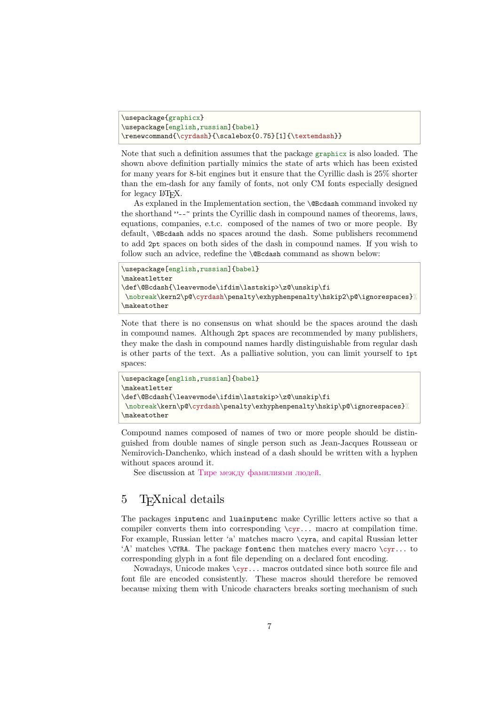```
\usepackage{graphicx}
\usepackage[english,russian]{babel}
\renewcommand{\cyrdash}{\scalebox{0.75}[1]{\textemdash}}
```
Note that such a definition assumes that the package graphicx is also loaded. The shown above definition partially mimics the state of arts which has been existed for many years for 8-bit engines but it ensure that the Cyrillic dash is 25% shorter than the em-dash for any family of fonts, not only CM fonts especially designed for legacy  $\text{MTFX}.$ 

As explaned in the Implementation section, the **\@Bcdash** command invoked ny the shorthand "--~ prints the Cyrillic dash in compound names of theorems, laws, equations, companies, e.t.c. composed of the names of two or more people. By default, \@Bcdash adds no spaces around the dash. Some publishers recommend to add 2pt spaces on both sides of the dash in compound names. If you wish to follow such an advice, redefine the **\@Bcdash** command as shown below:

```
\usepackage[english,russian]{babel}
\makeatletter
\def\@Bcdash{\leavevmode\ifdim\lastskip>\z@\unskip\fi
\nobreak\kern2\p@\cyrdash\penalty\exhyphenpenalty\hskip2\p@\ignorespaces}%
\makeatother
```
Note that there is no consensus on what should be the spaces around the dash in compound names. Although 2pt spaces are recommended by many publishers, they make the dash in compound names hardly distinguishable from regular dash is other parts of the text. As a palliative solution, you can limit yourself to 1pt spaces:

```
\usepackage[english,russian]{babel}
\makeatletter
\def\@Bcdash{\leavevmode\ifdim\lastskip>\z@\unskip\fi
\nobreak\kern\p@\cyrdash\penalty\exhyphenpenalty\hskip\p@\ignorespaces}%
\makeatother
```
Compound names composed of names of two or more people should be distinguished from double names of single person such as Jean-Jacques Rousseau or Nemirovich-Danchenko, which instead of a dash should be written with a hyphen without spaces around it.

See discussion at Тире между фамилиями людей.

## 5 T<sub>F</sub>Xnical details

<span id="page-6-0"></span>The packages inputenc and [luainputenc](https://ru.wikipedia.org/wiki/Обсуждение:Тире#Тире_между_фамилиями_людей) make Cyrillic letters active so that a compiler converts them into corresponding \cyr... macro at compilation time. For example, Russian letter 'a' matches macro \cyra, and capital Russian letter 'A' matches  $\CRA$ . The package fontenc then matches every macro  $\c{cyr...}$  to corresponding glyph in a font file depending on a declared font encoding.

Nowadays, Unicode makes  $\c{yr}$ ... macros outdated since both source file and font file are encoded consistently. These macros should therefore be removed because mixing them with Unicode characters breaks sorting mechanism of such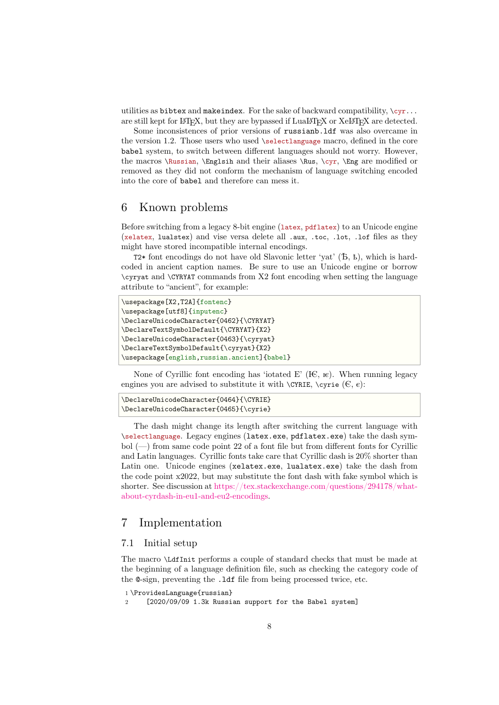utilities as bibtex and makeindex. For the sake of backward compatibility,  $\zeta_{\rm cr}$ ... are still kept for LATEX, but they are bypassed if LuaLATEX or XeLATEX are detected.

Some inconsistences of prior versions of russianb.ldf was also overcame in the version 1.2. Those users who used \selectlanguage macro, defined in the core babel system, to switch between different languages should not worry. However, the macros \Russian, \Englsih and their aliases \Rus, \cyr, \Eng are modified or removed as they did not conform the mechanism of language switching encoded into the core of babel and therefore can mess it.

### 6 Known problems

<span id="page-7-0"></span>Before switching from a legacy 8-bit engine (latex, pdflatex) to an Unicode engine (xelatex, lualstex) and vise versa delete all .aux, .toc, .lot, .lof files as they might have stored incompatible internal encodings.

T2\* font encodings do not have old Slavonic letter 'yat' (Ѣ, ѣ), which is hardcoded in ancient caption names. Be sure to use an Unicode engine or borrow \cyryat and \CYRYAT commands from X2 font encoding when setting the language attribute to "ancient", for example:

```
\usepackage[X2,T2A]{fontenc}
\usepackage[utf8]{inputenc}
\DeclareUnicodeCharacter{0462}{\CYRYAT}
\DeclareTextSymbolDefault{\CYRYAT}{X2}
\DeclareUnicodeCharacter{0463}{\cyryat}
\DeclareTextSymbolDefault{\cyryat}{X2}
\usepackage[english,russian.ancient]{babel}
```
None of Cyrillic font encoding has 'iotated E'  $(E, \kappa)$ . When running legacy engines you are advised to substitute it with  $\C{YRIE}$ ,  $\c{yrie}$  ( $\in$ ,  $\varepsilon$ ):

```
\DeclareUnicodeCharacter{0464}{\CYRIE}
\DeclareUnicodeCharacter{0465}{\cyrie}
```
The dash might change its length after switching the current language with \selectlanguage. Legacy engines (latex.exe, pdflatex.exe) take the dash symbol  $(-)$  from same code point 22 of a font file but from different fonts for Cyrillic and Latin languages. Cyrillic fonts take care that Cyrillic dash is 20% shorter than Latin one. Unicode engines (xelatex.exe, lualatex.exe) take the dash from the code point x2022, but may substitute the font dash with fake symbol which is shorter. See discussion at https://tex.stackexchange.com/questions/294178/whatabout-cyrdash-in-eu1-and-eu2-encodings.

### 7 Implementati[on](https://tex.stackexchange.com/questions/294178/what-about-cyrdash-in-eu1-and-eu2-encodings)

### [7.1 Initial setup](https://tex.stackexchange.com/questions/294178/what-about-cyrdash-in-eu1-and-eu2-encodings)

<span id="page-7-1"></span>The macro \LdfInit performs a couple of standard checks that must be made at the beginning of a language definition file, such as checking the category code of the @-sign, preventing the .ldf file from being processed twice, etc.

<span id="page-7-2"></span>1 \ProvidesLanguage{russian}

2 [2020/09/09 1.3k Russian support for the Babel system]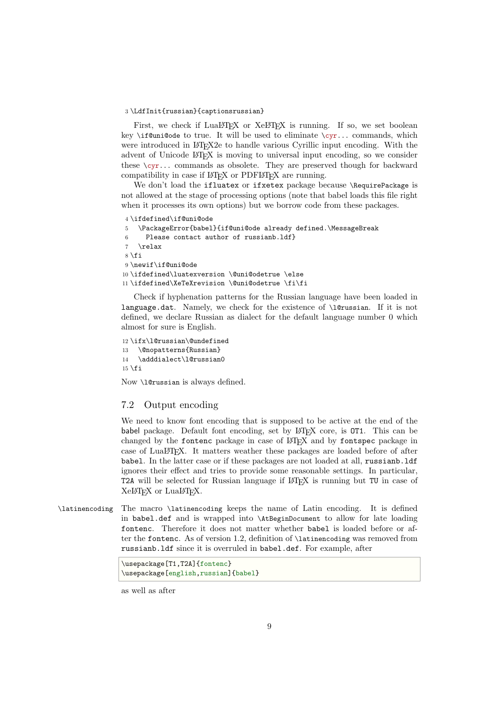### 3 \LdfInit{russian}{captionsrussian}

First, we check if LuaLATEX or XeLATEX is running. If so, we set boolean key \if@uni@ode to true. It will be used to eliminate  $\c{cyr...}$  commands, which were introduced in LAT<sub>EX2</sub> to handle various Cyrillic input encoding. With the advent of Unicode LATEX is moving to universal input encoding, so we consider these  $\zeta$ r... commands as obsolete. They are preserved though for backward compatibility in case if LAT<sub>EX</sub> or PDFLAT<sub>EX</sub> are running.

We don't load the ifluatex or ifxetex package because \RequirePackage is not allowed at the stage of processing options (note that babel loads this file right when it processes its own options) but we borrow code from these packages.

```
4 \ifdefined\if@uni@ode
5 \PackageError{babel}{if@uni@ode already defined.\MessageBreak
6 Please contact author of russianb.ldf}
7 \relax
8 \setminus \texttt{fi}9 \newif\if@uni@ode
10 \ifdefined\luatexversion \@uni@odetrue \else
11 \ifdefined\XeTeXrevision \@uni@odetrue \fi\fi
```
Check if hyphenation patterns for the Russian language have been loaded in language.dat. Namely, we check for the existence of \l@russian. If it is not defined, we declare Russian as dialect for the default language number 0 which almost for sure is English.

```
12 \ifx\l@russian\@undefined
13 \@nopatterns{Russian}
14 \adddialect\l@russian0
15 \mid fi
```
Now \l@russian is always defined.

### <span id="page-8-0"></span>7.2 Output encoding

We need to know font encoding that is supposed to be active at the end of the babel package. Default font encoding, set by LATEX core, is OT1. This can be changed by the fontenc package in case of  $\mathbb{F} F[X]$  and by fontspec package in case of LuaLATEX. It matters weather these packages are loaded before of after babel. In the latter case or if these packages are not loaded at all, russianb.ldf ignores their effect and tries to provide some reasonable settings. In particular, T2A will be selected for Russian language if LATEX is running but TU in case of XeLATEX or LuaLATEX.

\latinencoding The macro \latinencoding keeps the name of Latin encoding. It is defined in babel.def and is wrapped into \AtBeginDocument to allow for late loading fontenc. Therefore it does not matter whether babel is loaded before or after the fontenc. As of version 1.2, definition of \latinencoding was removed from russianb.ldf since it is overruled in babel.def. For example, after

```
\usepackage[T1,T2A]{fontenc}
\usepackage[english,russian]{babel}
```
as well as after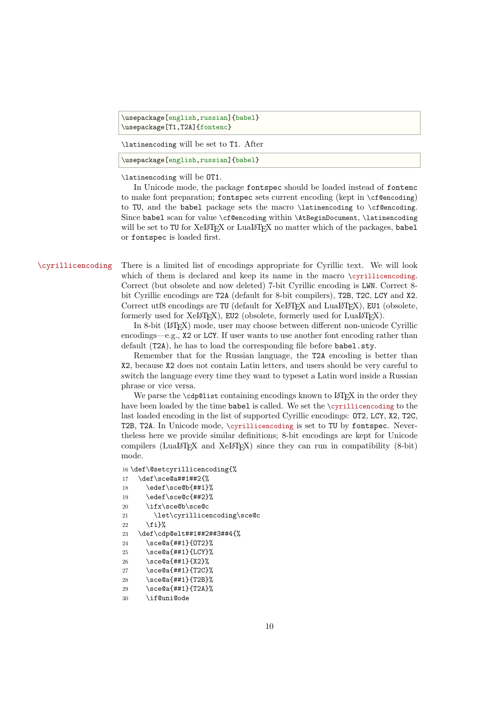\usepackage[english,russian]{babel} \usepackage[T1,T2A]{fontenc}

\latinencoding will be set to T1. After

\usepackage[english,russian]{babel}

\latinencoding will be OT1.

In Unicode mode, the package fontspec should be loaded instead of fontenc to make font preparation; fontspec sets current encoding (kept in  $\c{f\@encoding}$ ) to TU, and the babel package sets the macro \latinencoding to \cf@encoding. Since babel scan for value \cf@encoding within \AtBeginDocument, \latinencoding will be set to TU for XeLATEX or LuaLATEX no matter which of the packages, babel or fontspec is loaded first.

\cyrillicencoding There is a limited list of encodings appropriate for Cyrillic text. We will look which of them is declared and keep its name in the macro \cyrillicencoding. Correct (but obsolete and now deleted) 7-bit Cyrillic encoding is LWN. Correct 8 bit Cyrillic encodings are T2A (default for 8-bit compilers), T2B, T2C, LCY and X2. Correct utf8 encodings are TU (default for  $XeLT$ <sub>F</sub>X and LuaL<sup>T</sup><sub>F</sub>X), EU1 (obsolete, formerly used for XeLTEX), EU2 (obsolete, formerly used for LuaLTEX).

> In 8-bit (LATEX) mode, user may choose between different non-unicode Cyrillic encodings—e.g., X2 or LCY. If user wants to use another font encoding rather than default (T2A), he has to load the corresponding file before babel.sty.

> Remember that for the Russian language, the T2A encoding is better than X2, because X2 does not contain Latin letters, and users should be very careful to switch the language every time they want to typeset a Latin word inside a Russian phrase or vice versa.

> We parse the  $\cdots$  depolist containing encodings known to LAT<sub>EX</sub> in the order they have been loaded by the time babel is called. We set the \cyrillicencoding to the last loaded encoding in the list of supported Cyrillic encodings: OT2, LCY, X2, T2C, T2B, T2A. In Unicode mode, \cyrillicencoding is set to TU by fontspec. Nevertheless here we provide similar definitions; 8-bit encodings are kept for Unicode compilers (LuaLATEX and XeLATEX) since they can run in compatibility  $(8-bit)$ mode.

```
16 \def\@setcyrillicencoding{%
17 \def\sce@a##1##2{%
18 \edef\sce@b{##1}%
19 \edef\sce@c{##2}%
20 \ifx\sce@b\sce@c
21 \let\cyrillicencoding\sce@c
22 \{f_i\}%
23 \def\cdp@elt##1##2##3##4{%
24 \sce@a{##1}{OT2}%
25 \sce@a{##1}{LCY}%
26 \sce@a{##1}{X2}%
27 \sce@a{##1}{T2C}%
28 \sce@a{##1}{T2B}%
29 \sce@a{##1}{T2A}%
30 \if@uni@ode
```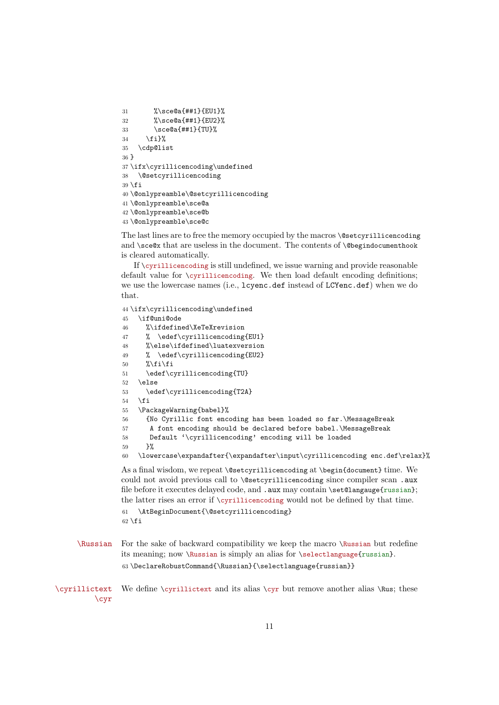```
31 %\sce@a{##1}{EU1}%
32 %\sce@a{##1}{EU2}%
33 \quad \text{Sce@a{##1}{}TUV\%}34 \fi}%
35 \cdp@list
36 }
37 \ifx\cyrillicencoding\undefined
38 \@setcyrillicencoding
39 \text{ t}40 \@onlypreamble\@setcyrillicencoding
41 \@onlypreamble\sce@a
42 \@onlypreamble\sce@b
43 \@onlypreamble\sce@c
```
The last lines are to free the memory occupied by the macros \@setcyrillicencoding and \sce@x that are useless in the document. The contents of \@begindocumenthook is cleared automatically.

If \cyrillicencoding is still undefined, we issue warning and provide reasonable default value for \cyrillicencoding. We then load default encoding definitions; we use the lowercase names (i.e., lcyenc.def instead of LCYenc.def) when we do that.

```
44 \ifx\cyrillicencoding\undefined
45 \if@uni@ode
46 %\ifdefined\XeTeXrevision
47 % \edef\cyrillicencoding{EU1}
48 %\else\ifdefined\luatexversion
49 % \edef\cyrillicencoding{EU2}
50 %\fi\fi
51 \edef\cyrillicencoding{TU}
52 \else
53 \edef\cyrillicencoding{T2A}
54 \fi
55 \PackageWarning{babel}%
56 {No Cyrillic font encoding has been loaded so far.\MessageBreak
57 A font encoding should be declared before babel.\MessageBreak
58 Default '\cyrillicencoding' encoding will be loaded
59 - 3%60 \lowercase\expandafter{\expandafter\input\cyrillicencoding enc.def\relax}%
As a final wisdom, we repeat \@setcyrillicencoding at \begin{document} time. We
```
could not avoid previous call to \@setcyrillicencoding since compiler scan .aux file before it executes delayed code, and .aux may contain \set@langauge{russian}; the latter rises an error if \cyrillicencoding would not be defined by that time.

61 \AtBeginDocument{\@setcyrillicencoding}  $62 \setminus fi$ 

- \Russian For the sake of backward compatibility we keep the macro \Russian but redefine its meaning; now \Russian is simply an alias for \selectlanguage{russian}. 63\DeclareRobustCommand{\Russian}{\selectlanguage{russian}}
- \cyrillictext We define \cyrillictext and its alias \cyr but remove another alias \Rus; these \cyr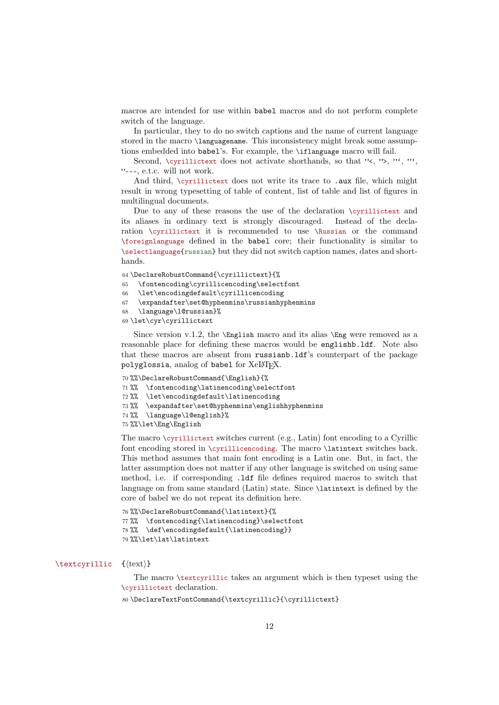macros are intended for use within babel macros and do not perform complete switch of the language.

In particular, they to do no switch captions and the name of current language stored in the macro \languagename. This inconsistency might break some assumptions embedded into babel's. For example, the \iflanguage macro will fail.

Second, *\cyrillictext* does not activate shorthands, so that "<, ">, "', "', "---, e.t.c. will not work.

And third, \cyrillictext does not write its trace to .aux file, which might result in wrong typesetting of table of content, list of table and list of figures in multilingual documents.

Due to any of these reasons the use of the declaration \cyrillictext and its aliases in ordinary text is strongly discouraged. Instead of the declaration \cyrillictext it is recommended to use \Russian or the command \foreignlanguage defined in the babel core; their functionality is similar to \selectlanguage{russian} but they did not switch caption names, dates and shorthands.

64 \DeclareRobustCommand{\cyrillictext}{%

65 \fontencoding\cyrillicencoding\selectfont

- 66 \let\encodingdefault\cyrillicencoding
- 67 \expandafter\set@hyphenmins\russianhyphenmins
- 68 \language\l@russian}%
- 69 \let\cyr\cyrillictext

Since version v.1.2, the  $\English$  macro and its alias  $\Eng$  were removed as a reasonable place for defining these macros would be englishb.ldf. Note also that these macros are absent from russianb.ldf's counterpart of the package polyglossia, analog of babel for XeLATFX.

70 %%\DeclareRobustCommand{\English}{%

71 %% \fontencoding\latinencoding\selectfont

```
72 %% \let\encodingdefault\latinencoding
```
- 73 %% \expandafter\set@hyphenmins\englishhyphenmins
- 74 %% \language\l@english}%

75 %%\let\Eng\English

The macro  $\equiv \text{switches current (e.g., Latin)}$  font encoding to a Cyrillic font encoding stored in \cyrillicencoding. The macro \latintext switches back. This method assumes that main font encoding is a Latin one. But, in fact, the latter assumption does not matter if any other language is switched on using same method, i.e. if corresponding .ldf file defines required macros to switch that language on from same standard (Latin) state. Since \latintext is defined by the core of babel we do not repeat its definition here.

```
76 %%\DeclareRobustCommand{\latintext}{%
77 %% \fontencoding{\latinencoding}\selectfont
78 %% \def\encodingdefault{\latinencoding}}
79 %%\let\lat\latintext
```
### \textcyrillic {*⟨*text*⟩*}

The macro \textcyrillic takes an argument which is then typeset using the \cyrillictext declaration.

80 \DeclareTextFontCommand{\textcyrillic}{\cyrillictext}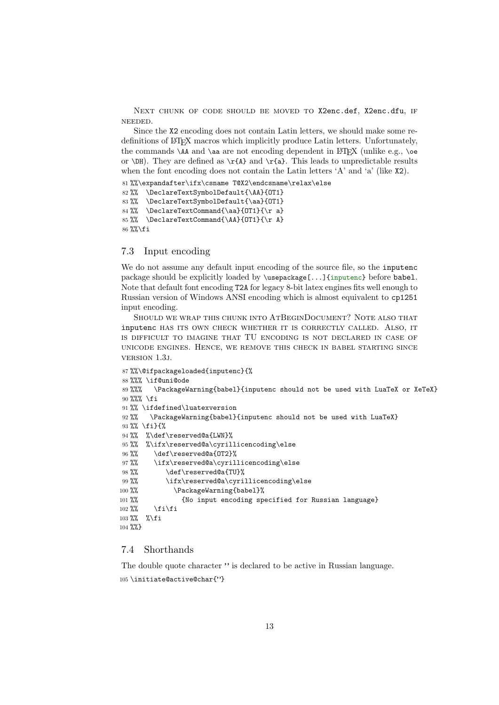NEXT CHUNK OF CODE SHOULD BE MOVED TO X2enc.def, X2enc.dfu, iF NEEDED.

Since the X2 encoding does not contain Latin letters, we should make some redefinitions of LATEX macros which implicitly produce Latin letters. Unfortunately, the commands  $\AA$  and  $\aa$  are not encoding dependent in LATEX (unlike e.g.,  $\oe$ or \DH). They are defined as  $\r{A}$  and  $\r{a}$ . This leads to unpredictable results when the font encoding does not contain the Latin letters  $A'$  and  $a'$  (like  $X2$ ).

```
81 %%\expandafter\ifx\csname T@X2\endcsname\relax\else
82 %% \DeclareTextSymbolDefault{\AA}{OT1}
83 %% \DeclareTextSymbolDefault{\aa}{OT1}
84 %% \DeclareTextCommand{\aa}{OT1}{\r a}
85 %% \DeclareTextCommand{\AA}{OT1}{\r A}
86 %%\fi
```
### <span id="page-12-0"></span>7.3 Input encoding

We do not assume any default input encoding of the source file, so the inputenc package should be explicitly loaded by \usepackage[...]{inputenc} before babel. Note that default font encoding T2A for legacy 8-bit latex engines fits well enough to Russian version of Windows ANSI encoding which is almost equivalent to cp1251 input encoding.

SHOULD WE WRAP THiS CHUNK iNTO ATBEGiNDOCUMENT? NOTE ALSO THAT inputenc HAS iTS OWN CHECK WHETHER iT iS CORRECTLY CALLED. ALSO, iT iS DiFFiCULT TO iMAGiNE THAT TU ENCODiNG iS NOT DECLARED iN CASE OF UNiCODE ENGiNES. HENCE, WE REMOVE THiS CHECK iN BABEL STARTiNG SiNCE VERSiON 1.3j.

```
87 %%\@ifpackageloaded{inputenc}{%
88 %%% \if@uni@ode
89 %%% \PackageWarning{babel}{inputenc should not be used with LuaTeX or XeTeX}
90 %%% \fi
91%% \ifdefined\luatexversion
92 %% \PackageWarning{babel}{inputenc should not be used with LuaTeX}
93 %% \fi}{%
94 %% %\def\reserved@a{LWN}%
95 %% %\ifx\reserved@a\cyrillicencoding\else
96 %% \def\reserved@a{OT2}%
97 %% \ifx\reserved@a\cyrillicencoding\else
98 %% \def\reserved@a{TU}%
99 %% \ifx\reserved@a\cyrillicencoding\else
100 %% \PackageWarning{babel}%
101 %% {No input encoding specified for Russian language}
102 %% \fi\fi
103 %% %\fi
104 %%}
```
### <span id="page-12-1"></span>7.4 Shorthands

The double quote character " is declared to be active in Russian language. 105 \initiate@active@char{"}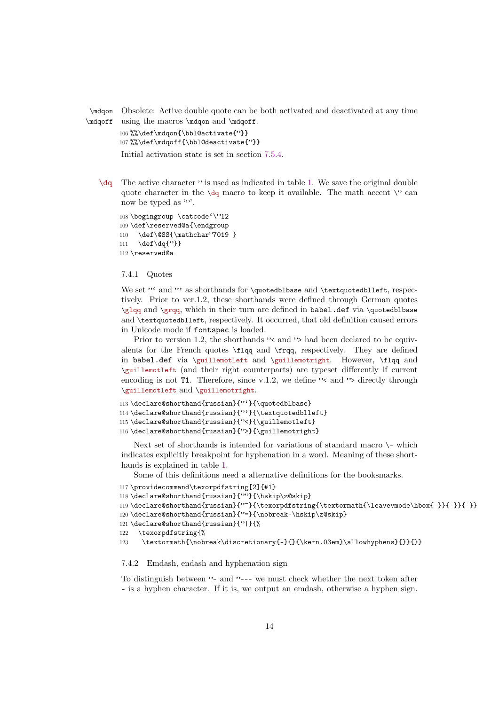\mdqon Obsolete: Active double quote can be both activated and deactivated at any time

```
\mdqoff
using the macros \mdqon and \mdqoff.
         106 %%\def\mdqon{\bbl@activate{"}}
         107%%\def\mdqoff{\bbl@deactivate{"}}
         Initial activation state is set in section 7.5.4.
```
\dq The active character " is used as indicated in table 1. We save the original double quotecharacter in the  $\dagger$  macro to k[eep it](#page-22-1) available. The math accent  $\vee$  can now be typed as "".

```
108 \begingroup \catcode'\"12
109 \def\reserved@a{\endgroup
110 \def\@SS{\mathchar"7019 }
111 \def\dq{"}}
112 \reserved@a
```
### 7.4.1 Quotes

<span id="page-13-0"></span>We set "' and "' as shorthands for \quotedblbase and \textquotedblleft, respectively. Prior to ver.1.2, these shorthands were defined through German quotes \glqq and \grqq, which in their turn are defined in babel.def via \quotedblbase and \textquotedblleft, respectively. It occurred, that old definition caused errors in Unicode mode if fontspec is loaded.

Prior to version 1.2, the shorthands "< and "> had been declared to be equivalents for the French quotes \flqq and \frqq, respectively. They are defined in babel.def via \guillemotleft and \guillemotright. However, \flqq and \guillemotleft (and their right counterparts) are typeset differently if current encoding is not  $T1$ . Therefore, since v.1.2, we define " $\leq$  and " $\geq$  directly through \guillemotleft and \guillemotright.

```
113 \declare@shorthand{russian}{"'}{\quotedblbase}
114 \declare@shorthand{russian}{"'}{\textquotedblleft}
115 \declare@shorthand{russian}{"<}{\guillemotleft}
116 \declare@shorthand{russian}{">}{\guillemotright}
```
Next set of shorthands is intended for variations of standard macro \- which indicates explicitly breakpoint for hyphenation in a word. Meaning of these shorthands is explained in table 1.

Some of this definitions need a alternative definitions for the booksmarks.

```
117 \providecommand\texorpdfstring[2]{#1}
```

```
118 \declare@shorthand{russian}{""}{\hskip\z@skip}
```

```
119 \declare@shorthand{russian}{"~}{\texorpdfstring{\textormath{\leavevmode\hbox{-}}{-}}{-}}
120 \declare@shorthand{russian}{"=}{\nobreak-\hskip\z@skip}
121 \declare@shorthand{russian}{"|}{%
122 \texorpdfstring{%
123 \textormath{\nobreak\discretionary{-}{}{\kern.03em}\allowhyphens}{}}{}}
```
### 7.4.2 Emdash, endash and hyphenation sign

<span id="page-13-1"></span>To distinguish between "- and "--- we must check whether the next token after - is a hyphen character. If it is, we output an emdash, otherwise a hyphen sign.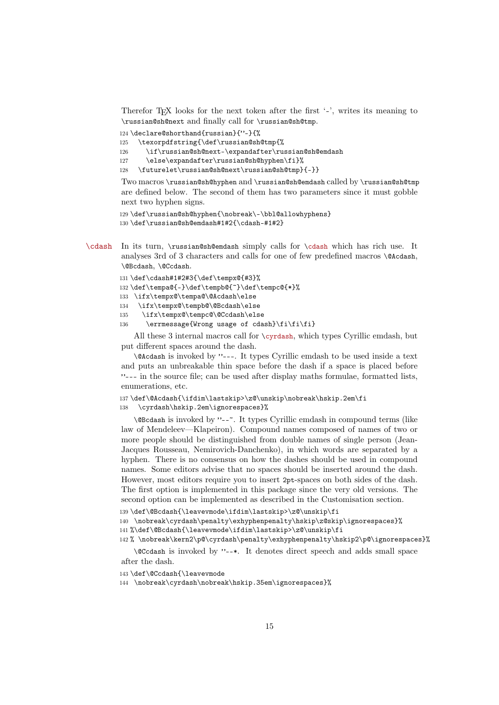Therefor T<sub>EX</sub> looks for the next token after the first  $\cdot$ -', writes its meaning to \russian@sh@next and finally call for \russian@sh@tmp.

```
124 \declare@shorthand{russian}{"-}{%
```

```
125 \texorpdfstring{\def\russian@sh@tmp{%
```

```
126 \if\russian@sh@next-\expandafter\russian@sh@emdash
```
127 \else\expandafter\russian@sh@hyphen\fi}%

128 \futurelet\russian@sh@next\russian@sh@tmp}{-}}

Two macros \russian@sh@hyphen and \russian@sh@emdash called by \russian@sh@tmp are defined below. The second of them has two parameters since it must gobble next two hyphen signs.

```
129 \def\russian@sh@hyphen{\nobreak\-\bbl@allowhyphens}
130 \def\russian@sh@emdash#1#2{\cdash-#1#2}
```
\cdash In its turn, \russian@sh@emdash simply calls for \cdash which has rich use. It analyses 3rd of 3 characters and calls for one of few predefined macros \@Acdash, \@Bcdash, \@Ccdash.

```
131 \def\cdash#1#2#3{\def\tempx@{#3}%
132 \def\tempa@{-}\def\tempb@{~}\def\tempc@{*}%
133 \ifx\tempx@\tempa@\@Acdash\else
134 \ifx\tempx@\tempb@\@Bcdash\else
135 \ifx\tempx@\tempc@\@Ccdash\else
```
136 \errmessage{Wrong usage of cdash}\fi\fi\fi}

All these 3 internal macros call for \cyrdash, which types Cyrillic emdash, but put different spaces around the dash.

\@Acdash is invoked by "---. It types Cyrillic emdash to be used inside a text and puts an unbreakable thin space before the dash if a space is placed before "--- in the source file; can be used after display maths formulae, formatted lists, enumerations, etc.

```
137 \def\@Acdash{\ifdim\lastskip>\z@\unskip\nobreak\hskip.2em\fi
```
138 \cyrdash\hskip.2em\ignorespaces}%

\@Bcdash is invoked by "--~. It types Cyrillic emdash in compound terms (like law of Mendeleev—Klapeiron). Compound names composed of names of two or more people should be distinguished from double names of single person (Jean-Jacques Rousseau, Nemirovich-Danchenko), in which words are separated by a hyphen. There is no consensus on how the dashes should be used in compound names. Some editors advise that no spaces should be inserted around the dash. However, most editors require you to insert 2pt-spaces on both sides of the dash. The first option is implemented in this package since the very old versions. The second option can be implemented as described in the Customisation section.

139 \def\@Bcdash{\leavevmode\ifdim\lastskip>\z@\unskip\fi

140 \nobreak\cyrdash\penalty\exhyphenpenalty\hskip\z@skip\ignorespaces}% 141 %\def\@Bcdash{\leavevmode\ifdim\lastskip>\z@\unskip\fi

142 % \nobreak\kern2\p@\cyrdash\penalty\exhyphenpenalty\hskip2\p@\ignorespaces}%

\@Ccdash is invoked by "--\*. It denotes direct speech and adds small space after the dash.

143 \def\@Ccdash{\leavevmode

144 \nobreak\cyrdash\nobreak\hskip.35em\ignorespaces}%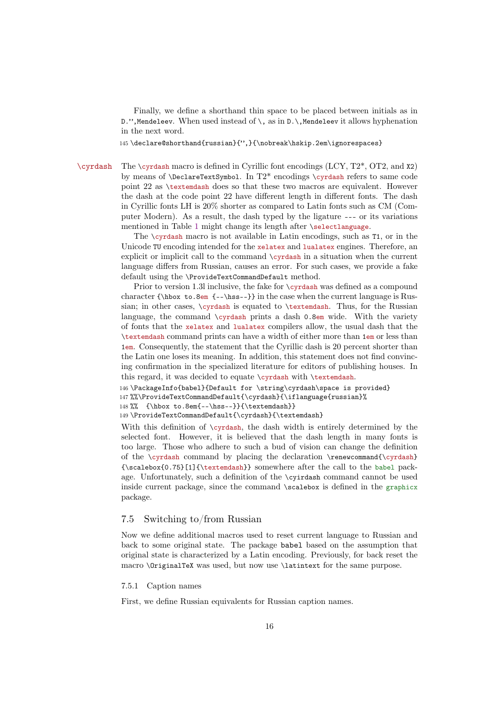Finally, we define a shorthand thin space to be placed between initials as in D.", Mendeleev. When used instead of  $\setminus$ , as in D. $\setminus$ , Mendeleev it allows hyphenation in the next word.

145 \declare@shorthand{russian}{",}{\nobreak\hskip.2em\ignorespaces}

\cyrdash The \cyrdash macro is defined in Cyrillic font encodings (LCY, T2\*, OT2, and X2) by means of  $\DeclarerTextSymbol$ . In  $T2*$  encodings  $\cyrdash$  refers to same code point 22 as \textemdash does so that these two macros are equivalent. However the dash at the code point 22 have different length in different fonts. The dash in Cyrillic fonts LH is 20% shorter as compared to Latin fonts such as CM (Computer Modern). As a result, the dash typed by the ligature --- or its variations mentioned in Table 1 might change its length after \selectlanguage.

> The \cyrdash macro is not available in Latin encodings, such as T1, or in the Unicode TU encoding intended for the xelatex and lualatex engines. Therefore, an explicit or implicit call to the command \cyrdash in a situation when the current language differs fro[m](#page-31-0) Russian, causes an error. For such cases, we provide a fake default using the \ProvideTextCommandDefault method.

> Prior to version 1.3l inclusive, the fake for \cyrdash was defined as a compound character  ${\hbox{box to.8em {-}hss--}}$  in the case when the current language is Russian; in other cases, \cyrdash is equated to \textemdash. Thus, for the Russian language, the command \cyrdash prints a dash 0.8em wide. With the variety of fonts that the xelatex and lualatex compilers allow, the usual dash that the \textemdash command prints can have a width of either more than 1em or less than 1em. Consequently, the statement that the Cyrillic dash is 20 percent shorter than the Latin one loses its meaning. In addition, this statement does not find convincing confirmation in the specialized literature for editors of publishing houses. In this regard, it was decided to equate \cyrdash with \textemdash.

```
146 \PackageInfo{babel}{Default for \string\cyrdash\space is provided}
147 %%\ProvideTextCommandDefault{\cyrdash}{\iflanguage{russian}%
```

```
148 %% {\hbox to.8em{--\hss--}}{\textemdash}}
```
149 \ProvideTextCommandDefault{\cyrdash}{\textemdash}

With this definition of  $\cyrdash$ , the dash width is entirely determined by the selected font. However, it is believed that the dash length in many fonts is too large. Those who adhere to such a bud of vision can change the definition of the \cyrdash command by placing the declaration \renewcommand{\cyrdash} {\scalebox{0.75}[1]{\textemdash}} somewhere after the call to the babel package. Unfortunately, such a definition of the \cyirdash command cannot be used inside current package, since the command \scalebox is defined in the graphicx package.

### 7.5 Switching to/from Russian

<span id="page-15-0"></span>Now we define additional macros used to reset current language to Russian and back to some original state. The package babel based on the assumption that original state is characterized by a Latin encoding. Previously, for back reset the macro \OriginalTeX was used, but now use \latintext for the same purpose.

### 7.5.1 Caption names

<span id="page-15-1"></span>First, we define Russian equivalents for Russian caption names.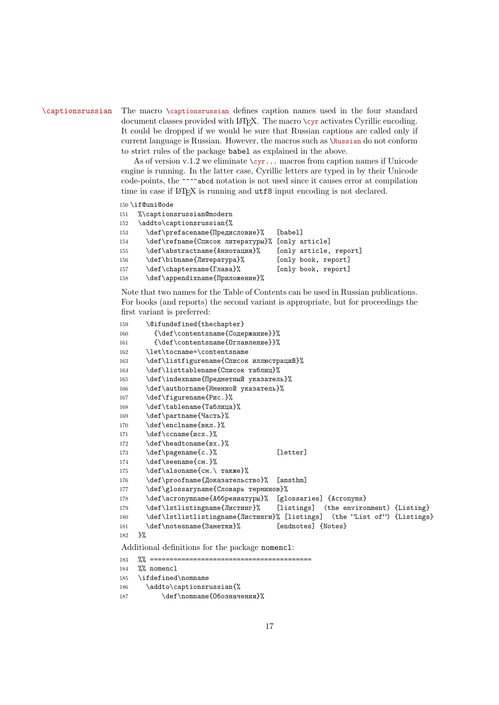\captionsrussian The macro \captionsrussian defines caption names used in the four standard document classes provided with  $\LaTeX$ . The macro \cyr activates Cyrillic encoding. It could be dropped if we would be sure that Russian captions are called only if current language is Russian. However, the macros such as \Russian do not conform to strict rules of the package babel as explained in the above.

> As of version v.1.2 we eliminate  $\qquad \gamma \ldots$  macros from caption names if Unicode engine is running. In the latter case, Cyrillic letters are typed in by their Unicode code-points, the ^^^^abcd notation is not used since it causes error at compilation time in case if  $\mathbb{M}$ <sub>F</sub>X is running and utf8 input encoding is not declared.

150 \if@uni@ode

151 %\captionsrussian@modern

```
152 \addto\captionsrussian{%
153 \def\prefacename{Предисловие}% [babel]
154 \def\refname{Список литературы}% [only article]
155 \def\abstractname{Аннотация}% [only article, report]
156 \def\bibname{Литература}% [only book, report]
157 \def\chaptername{Глава}% [only book, report]
158 \def\appendixname{Приложение}%
```
Note that two names for the Table of Contents can be used in Russian publications. For books (and reports) the second variant is appropriate, but for proceedings the first variant is preferred:

```
159 \@ifundefined{thechapter}
160 {\def\contentsname{Содержание}}%
161 {\def\contentsname{Оглавление}}%
162 \let\tocname=\contentsname
163 \def\listfigurename{Список иллюстраций}%
164 \def\listtablename{Список таблиц}%
165 \def\indexname{Предметный указатель}%
166 \def\authorname{Именной указатель}%
167 \def\figurename{Рис.}%
168 \def\tablename{Таблица}%
169 \def\partname{Часть}%
170 \def\enclname{вкл.}%
171 \def\ccname{исх.}%
172 \def\headtoname{вх.}%
173 \def\pagename{c.}% [letter]
174 \def\seename{см.}%
175 \def\alsoname{см.\ также}%
176 \def\proofname{Доказательство}% [amsthm]
177 \def\glossaryname{Словарь терминов}%
178 \def\acronymname{Аббревиатуры}% [glossaries] {Acronyms}
179 \def\lstlistingname{Листинг}% [listings] (the environment) {Listing}
180 \def\lstlistlistingname{Листинги}% [listings] (the "List of") {Listings}
181 \def\notesname{Заметки}% [endnotes] {Notes}
182 }%
Additional definitions for the package nomencl:
183 %% ==========
184 %% nomencl
```
<sup>185</sup> \ifdefined\nomname

<sup>186 \</sup>addto\captionsrussian{%

<sup>187 \</sup>def\nomname{Обозначения}%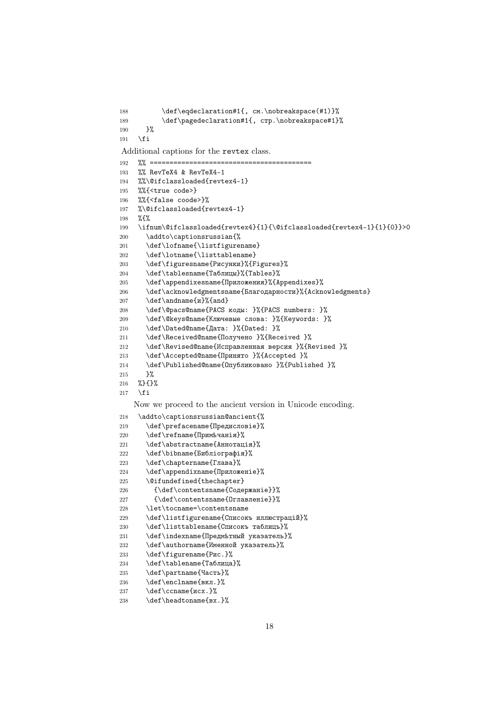```
188 \def\eqdeclaration#1{, см.\nobreakspace(#1)}%
189 \def\pagedeclaration#1{, crp.\nobreakspace#1}%
190 }%
191 \ifmmode \overline{ \setminus} \else 191 \ifmmode \overline{ \setminus} \ 1 191
Additional captions for the revtex class.
192 %% =========================================
193 %% RevTeX4 & RevTeX4-1
194 %%\@ifclassloaded{revtex4-1}
195 %%{<true code>}
196 %%{<false coode>}%
197 %\@ifclassloaded{revtex4-1}
198 %{%
199 \ifnum\@ifclassloaded{revtex4}{1}{\@ifclassloaded{revtex4-1}{1}{0}}>0
200 \addto\captionsrussian{%
201 \def\lofname{\listfigurename}
202 \def\ldots f\llbracket\frac{\mathbf{b}203 \def\figuresname{Рисунки}%{Figures}%
204 \def\tablesname{Таблицы}%{Tables}%
205 \def\appendixesname{Приложения}%{Appendixes}%
206 \def\acknowledgmentsname{Благодарности}%{Acknowledgments}
207 \def\andname{и}%{and}
208 \def\@pacs@name{PACS коды: }%{PACS numbers: }%
209 \def\@keys@name{Ключевые слова: }%{Keywords: }%
210 \def\Dated@name{Дата: }%{Dated: }%
211 \def\Received@name{Получено }%{Received }%
212 \def\Revised@name{Исправленная версия }%{Revised }%
213 \def\Accepted@name{Принято }%{Accepted }%
214 \def\Published@name{Опубликовано }%{Published }%
215 }%
216 %}{}%
217 \fi
   Now we proceed to the ancient version in Unicode encoding.
218 \addto\captionsrussian@ancient{%
219 \def\{\Pi\neq\{\Pi\n\rangle\}220 \def\refname{Примѣчанія}%
221 \def\abstractname{Аннотація}%
222 \def\binom{Buf}{H}223 \def\chaptername{Глава}%
224 \def\appendixname{Приложеніе}%
225 \@ifundefined{thechapter}
226 {\def\contentsname{Содержаніе}}%
227 {\def\contentsname{Оглавленіе}}%
228 \let\tocname=\contentsname
229 \def\listfigurename{Списокъ иллюстрацій}%
230 \def\listtablename{Списокъ таблицъ}%
231 \def\indexname{Предмѣтный указатель}%
232 \def\authorname{Именной указатель}%
233 \def\figurename{Рис.}%
234 \def\tablename{Таблица}%
235 \def\partname{Часть}%
236 \def\enclname{вкл.}%
237 \def\ccname{исх.}%
```

```
238 \def\headtoname{вх.}%
```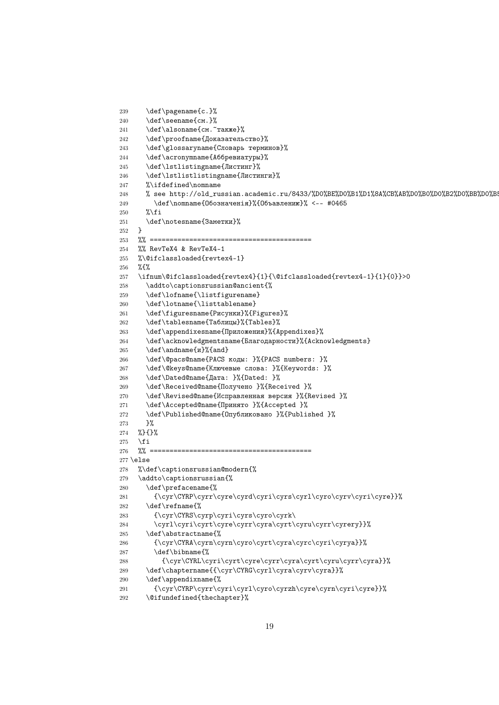```
239 \def\pagename{c.}%
240 \def\seename{см.}%
241 \def\alsoname{см.~также}%
242 \def\proofname{Доказательство}%
243 \def\glossaryname{Словарь терминов}%
244 \def\acronymname{Аббревиатуры}%
245 \def\lstlistingname{Листинг}%
246 \def\lstlistlistingname{Листинги}%
247 %\ifdefined\nomname
248 % see http://old_russian.academic.ru/8433/%D0%BE%D0%B1%D1%8A%CB%AB%D0%B0%D0%B2%D0%BB%D0%B
249 \det\nomname{06}349 \det\nomname{06}349 \det\sigma250 \sqrt[2]{\text{ifi}}251 \def\notesname{Заметки}%
252 }
253 %% =========================================
254 %% RevTeX4 & RevTeX4-1
255 %\@ifclassloaded{revtex4-1}
256 %{%
257 \ifnum\@ifclassloaded{revtex4}{1}{\@ifclassloaded{revtex4-1}{1}{0}}>0
258 \addto\captionsrussian@ancient{%
259 \def\lofname{\listfigurename}
260 \def\lotname{\listtablename}
261 \def\figuresname{Рисунки}%{Figures}%
262 \def\tablesname{Таблицы}%{Tables}%
263 \def\appendixesname{Приложения}%{Appendixes}%
264 \def\acknowledgmentsname{Благодарности}%{Acknowledgments}
265 \def\andname{u}%{and}
266 \def\@pacs@name{PACS коды: }%{PACS numbers: }%
267 \def\@keys@name{Ключевые слова: }%{Keywords: }%
268 \def\Dated@name{Дата: }%{Dated: }%
269 \def\Received@name{Получено }%{Received }%
270 \def\Revised@name{Исправленная версия }%{Revised }%
271 \def\Accepted@name{Принято }%{Accepted }%
272 \def\Published@name{Опубликовано }%{Published }%
273 }%
274 %}{}%
275 \, \text{Vfi}276 %% =========================================
277 \else
278 %\def\captionsrussian@modern{%
279 \addto\captionsrussian{%
280 \def\prefacename{%
281 {\cyr\CYRP\cyrr\cyre\cyrd\cyri\cyrs\cyrl\cyro\cyrv\cyri\cyre}}%
282 \def\refname{%
283 {\cyr\CYRS\cyrp\cyri\cyrs\cyro\cyrk\
284 \cyrl\cyri\cyrt\cyre\cyrr\cyra\cyrt\cyru\cyrr\cyrery}}%
285 \def\abstractname{%
286 {\cyr\CYRA\cyrn\cyrn\cyro\cyrt\cyra\cyrc\cyri\cyrya}}%
287 \def\bibname{%
288 {\cyr\CYRL\cyri\cyrt\cyre\cyrr\cyra\cyrt\cyru\cyrr\cyra}}%
289 \def\chaptername{{\cyr\CYRG\cyrl\cyra\cyrv\cyra}}%
290 \def\appendixname{%
291 {\cyr\CYRP\cyrr\cyri\cyrl\cyro\cyrzh\cyre\cyrn\cyri\cyre}}%
292 \@ifundefined{thechapter}%
```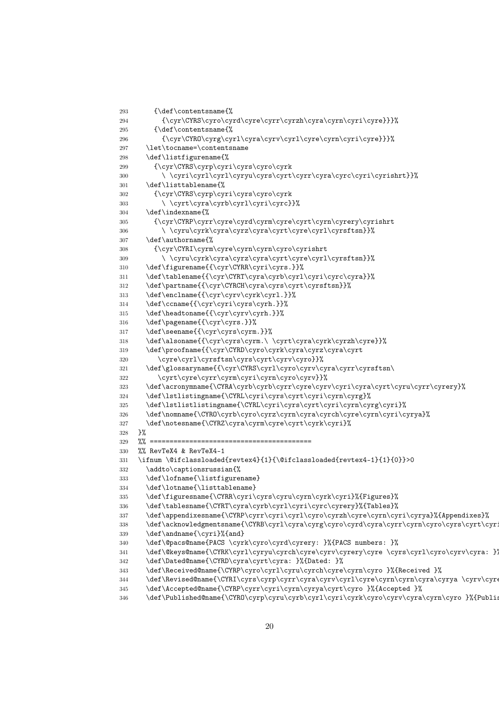```
293 {\def\contentsname{%
294 {\cyr\CYRS\cyro\cyrd\cyre\cyrr\cyrzh\cyra\cyrn\cyri\cyre}}}%
295 {\def\contentsname{%}
296 {\cyr\CYRO\cyrg\cyrl\cyra\cyrv\cyrl\cyre\cyrn\cyri\cyre}}}%
297 \let\tocname=\contentsname
298 \def\listfigurename{%
299 {\cyr\CYRS\cyrp\cyri\cyrs\cyro\cyrk
300 \ \cyri\cyrl\cyrl\cyryu\cyrs\cyrt\cyrr\cyra\cyrc\cyri\cyrishrt}}%
301 \def\listtablename{%
302 {\cyr\CYRS\cyrp\cyri\cyrs\cyro\cyrk
303 \ \cyrt\cyra\cyrb\cyrl\cyri\cyrc}}%
304 \def\indexname{%
305 {\cyr\CYRP\cyrr\cyre\cyrd\cyrm\cyre\cyrt\cyrn\cyrery\cyrishrt
306 \ \cyru\cyrk\cyra\cyrz\cyra\cyrt\cyre\cyrl\cyrsftsn}}%
307 \def\authorname{%
308 {\cyr\CYRI\cyrm\cyre\cyrn\cyrn\cyro\cyrishrt
309 \ \cyru\cyrk\cyra\cyrz\cyra\cyrt\cyre\cyrl\cyrsftsn}}%
310 \def\figurename{{\cyr\CYRR\cyri\cyrs.}}%
311 \def\tablename{{\cyr\CYRT\cyra\cyrb\cyrl\cyri\cyrc\cyra}}%
312 \def\partname{{\cyr\CYRCH\cyra\cyrs\cyrt\cyrsftsn}}%
313 \def\enclname{{\cyr\cyrv\cyrk\cyrl.}}%
314 \def\ccname{{\cyr\cyri\cyrs\cyrh.}}%
315 \def\headtoname{{\cyr\cyrv\cyrh.}}%
316 \def\pagename{{\cyr\cyrs.}}%
317 \def\seename{{\cyr\cyrs\cyrm.}}%
318 \def\alsoname{{\cyr\cyrs\cyrm.\ \cyrt\cyra\cyrk\cyrzh\cyre}}%
319 \def\proofname{{\cyr\CYRD\cyro\cyrk\cyra\cyrz\cyra\cyrt
320 \cyre\cyrl\cyrsftsn\cyrs\cyrt\cyrv\cyro}}%
321 \def\glossaryname{{\cyr\CYRS\cyrl\cyro\cyrv\cyra\cyrr\cyrsftsn\
322 \cyrt\cyre\cyrr\cyrm\cyri\cyrn\cyro\cyrv}}%
323 \def\acronymname{\CYRA\cyrb\cyrb\cyrr\cyre\cyrv\cyri\cyra\cyrt\cyru\cyrr\cyrery}%
324 \def\lstlistingname{\CYRL\cyri\cyrs\cyrt\cyri\cyrn\cyrg}%
325 \def\lstlistlistingname{\CYRL\cyri\cyrs\cyrt\cyri\cyrn\cyrg\cyri}%
326 \def\nomname{\CYRO\cyrb\cyro\cyrz\cyrn\cyra\cyrch\cyre\cyrn\cyri\cyrya}%
327 \def\notesname{\CYRZ\cyra\cyrm\cyre\cyrt\cyrk\cyri}%
328 }%
329 %% =========================================
330 %% RevTeX4 & RevTeX4-1
331 \ifnum \@ifclassloaded{revtex4}{1}{\@ifclassloaded{revtex4-1}{1}{0}}>0
332 \addto\captionsrussian{%
333 \def\lofname{\listfigurename}
334 \def\lotname{\listtablename}
335 \def\figuresname{\CYRR\cyri\cyrs\cyru\cyrn\cyrk\cyri}%{Figures}%
336 \label{thm:main} $$ \def\table{CYRT\cyraf\cyrb\cyri\cyrcf\cyrery}_{\fables}$$337 \def\appendixesname{\CYRP\cyrr\cyri\cyrl\cyro\cyrzh\cyre\cyrn\cyri\cyrya}%{Appendixes}%
338 \def\acknowledgmentsname{\CYRB\cyrl\cyra\cyrg\cyro\cyrd\cyra\cyrr\cyrn\cyro\cyrs\cyrt\cyr
339 \def\andname{\cyri}%{and}
340 \def\@pacs@name{PACS \cyrk\cyro\cyrd\cyrery: }%{PACS numbers: }%
341 \def\@keys@name{\CYRK\cyrl\cyryu\cyrch\cyre\cyrv\cyrery\cyre \cyrs\cyrl\cyro\cyrv\cyra: }
342 \def\Dated@name{\CYRD\cyra\cyrt\cyra: }%{Dated: }%
343 \def\Received@name{\CYRP\cyro\cyrl\cyru\cyrch\cyre\cyrn\cyro }%{Received }%
344 \def\Revised@name{\CYRI\cyrs\cyrp\cyrr\cyra\cyrv\cyrl\cyre\cyrn\cyrn\cyra\cyrya \cyrv\cyr
345 \def\Accepted@name{\CYRP\cyrr\cyri\cyrn\cyrya\cyrt\cyro }%{Accepted }%
346 \def\Published@name{\CYRO\cyrp\cyru\cyrb\cyrl\cyri\cyrk\cyro\cyrv\cyra\cyrn\cyro }%{Published }
```

```
20
```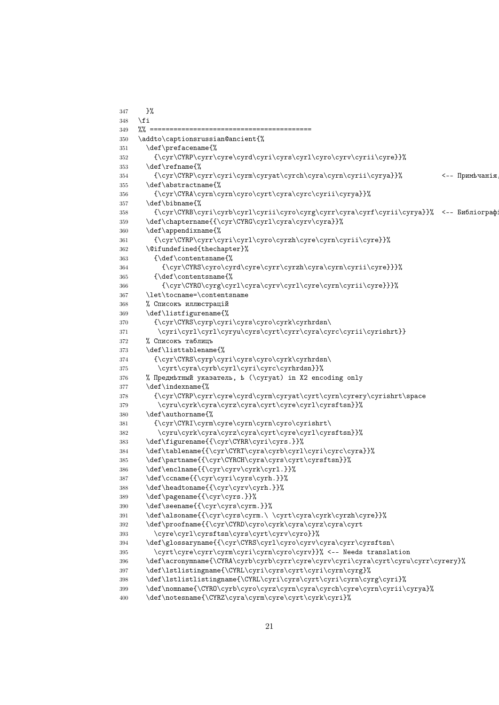```
347 }%
348 \fi
349 % ======
350 \addto\captionsrussian@ancient{%
351 \def\prefacename{%
352 {\cyr\CYRP\cyrr\cyre\cyrd\cyri\cyrs\cyrl\cyro\cyrv\cyrii\cyre}}%
353 \qquad \text{def}\refname{%
354 {\cyr\CYRP\cyrr\cyri\cyrm\cyryat\cyrch\cyra\cyrn\cyrii\cyrya}}% <-- Примѣчанія
355 \def\abstractname{%
356 {\cyr\CYRA\cyrn\cyrn\cyro\cyrt\cyra\cyrc\cyrii\cyrya}}%
357 \def\bibname{%
358 {\cyr\CYRB\cyri\cyrb\cyrl\cyrii\cyro\cyrg\cyrr\cyra\cyrf\cyrii\cyrya}}% <-- Библіограф
359 \textcolor{black}{\cyclic} \label{cyclic} $$360 \def\appendixname{%
361 {\cyr\CYRP\cyrr\cyri\cyrl\cyro\cyrzh\cyre\cyrn\cyrii\cyre}}%
362 \@ifundefined{thechapter}%
363 {\def\contentsname{%
364 {\cyr\CYRS\cyro\cyrd\cyre\cyrr\cyrzh\cyra\cyrn\cyrii\cyre}}}%
365 {\def\contentsname{%
366 {\cyr\CYRO\cyrg\cyrl\cyra\cyrv\cyrl\cyre\cyrn\cyrii\cyre}}}%
367 \let\tocname=\contentsname
368 % Списокъ иллюстрацій
369 \def\listfigurename{%
370 {\cyr\CYRS\cyrp\cyri\cyrs\cyro\cyrk\cyrhrdsn\
371 \cyri\cyrl\cyrl\cyryu\cyrs\cyrt\cyrr\cyra\cyrc\cyrii\cyrishrt}}
372 % Списокъ таблицъ
373 \def\listtablename{%
374 {\cyr\CYRS\cyrp\cyri\cyrs\cyro\cyrk\cyrhrdsn\
375 \cyrt\cyra\cyrb\cyrl\cyri\cyrc\cyrhrdsn}}%
376 % Предмѣтный указатель, ѣ (\cyryat) in X2 encoding only
377 \def\indexname{%
378 {\cyr\CYRP\cyrr\cyre\cyrd\cyrm\cyryat\cyrt\cyrn\cyrery\cyrishrt\space
379 \cyru\cyrk\cyra\cyrz\cyra\cyrt\cyre\cyrl\cyrsftsn}}%
380 \def\authorname{%
381 {\cyr\CYRI\cyrm\cyre\cyrn\cyrn\cyro\cyrishrt\
382 \cyru\cyrk\cyra\cyrz\cyra\cyrt\cyre\cyrl\cyrsftsn}}%
383 \def\figurename{{\cyr\CYRR\cyri\cyrs.}}%
384 \def\tablename{{\cyr\CYRT\cyra\cyrb\cyrl\cyri\cyrc\cyra}}%
385 \def\partname{{\cyr\CYRCH\cyra\cyrs\cyrt\cyrsftsn}}%
386 \def\enclname{{\cyr\cyrv\cyrk\cyrl.}}%
387 \def\ccname{{\cyr\cyri\cyrs\cyrh.}}%
388 \def\headtoname{{\cyr\cyrv\cyrh.}}%
389 \def\pagename{{\cyr\cyrs.}}%
390 \def\seename{{\cyr\cyrs\cyrm.}}%
391 \def\alsoname{{\cyr\cyrs\cyrm.\ \cyrt\cyra\cyrk\cyrzh\cyre}}%
392 \def\proofname{{\cyr\CYRD\cyro\cyrk\cyra\cyrz\cyra\cyrt
393 \cyre\cyrl\cyrsftsn\cyrs\cyrt\cyrv\cyro}}%
394 \def\glossaryname{{\cyr\CYRS\cyrl\cyro\cyrv\cyra\cyrr\cyrsftsn\
395 \cyrt\cyre\cyrr\cyrm\cyri\cyrn\cyro\cyrv}}% <-- Needs translation
396 \def\acronymname{\CYRA\cyrb\cyrb\cyrr\cyre\cyrv\cyri\cyra\cyrt\cyru\cyrr\cyrery}%
397 \def\lstlistingname{\CYRL\cyri\cyrs\cyrt\cyri\cyrn\cyrg}%
398 \def\lstlistlistingname{\CYRL\cyri\cyrs\cyrt\cyri\cyrn\cyrg\cyri}%
399 \def\nomname{\CYRO\cyrb\cyro\cyrz\cyrn\cyra\cyrch\cyre\cyrn\cyrii\cyrya}%
400 \def\notesname{\CYRZ\cyra\cyrm\cyre\cyrt\cyrk\cyri}%
```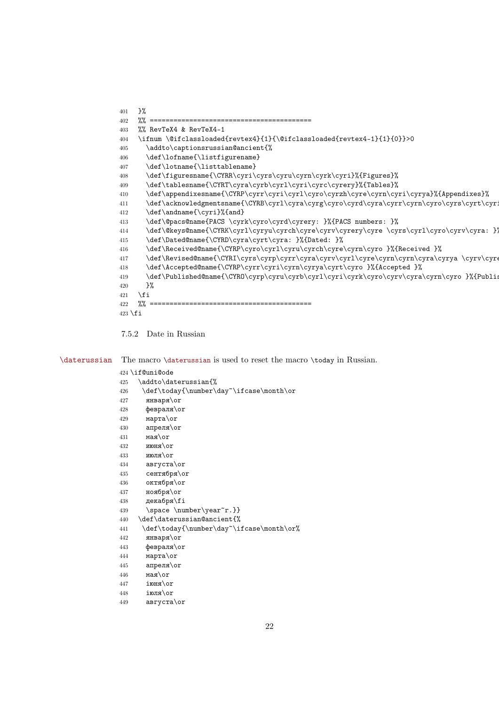```
401   3\%402 %% =========================================
403 %% RevTeX4 & RevTeX4-1
404 \ifnum \@ifclassloaded{revtex4}{1}{\@ifclassloaded{revtex4-1}{1}{0}}>0
405 \addto\captionsrussian@ancient{%
406 \def\lofname{\listfigurename}
407 \def\lotname{\listtablename}
408 \def\figuresname{\CYRR\cyri\cyrs\cyru\cyrn\cyrk\cyri}%{Figures}%
409 \def\tablesname{\CYRT\cyra\cyrb\cyrl\cyri\cyrc\cyrery}%{Tables}%
410 \def\appendixesname{\CYRP\cyrr\cyri\cyrl\cyro\cyrzh\cyre\cyrn\cyri\cyrya}%{Appendixes}%
411 \def\acknowledgmentsname{\CYRB\cyrl\cyra\cyrg\cyro\cyrd\cyra\cyrr\cyrn\cyro\cyrs\cyrt\cyr
412 \def\andname{\cyri}%{and}
413 \def\@pacs@name{PACS \cyrk\cyro\cyrd\cyrery: }%{PACS numbers: }%
414 \def\@keys@name{\CYRK\cyrl\cyryu\cyrch\cyre\cyrv\cyrery\cyre \cyrs\cyrl\cyro\cyrv\cyra: }
415 \def\Dated@name{\CYRD\cyra\cyrt\cyra: }%{Dated: }%
416 \def\Received@name{\CYRP\cyro\cyrl\cyru\cyrch\cyre\cyrn\cyro }%{Received }%
417 \def\Revised@name{\CYRI\cyrs\cyrp\cyrr\cyra\cyrv\cyrl\cyre\cyrn\cyrn\cyra\cyrya \cyrv\cyr
418 \def\Accepted@name{\CYRP\cyrr\cyri\cyrn\cyrya\cyrt\cyro }%{Accepted }%
419 \def\Published@name{\CYRO\cyrp\cyru\cyrb\cyrl\cyri\cyrk\cyro\cyrv\cyra\cyrn\cyro }%{Published }
420 }%
421 \times 111422 %% =========================================
423 \text{ }\mathsf{tfi}
```
<span id="page-21-0"></span>7.5.2 Date in Russian

\daterussian The macro \daterussian is used to reset the macro \today in Russian.

 \if@uni@ode \addto\daterussian{% 426 \def\today{\number\day~\ifcase\month\or января\or февраля $\or$  марта\or апреля $\overline{\arctan}$  мая $\sigma$  июня\or июля\or августа\or сентября\or октября\or ноября\or декабря\fi 439 \space \number\year~r.}} \def\daterussian@ancient{% 441 \def\today{\number\day~\ifcase\month\or% января\or февраля\or марта\or апреля\or  $\n **9 9 9 9 1 9 1 9 1 9 1 9 1 9 1 9 1 9 1 9 1 9 1 9 1 9 1 9 1 9**$   $i$   $mHg\$  іюля\or августа\or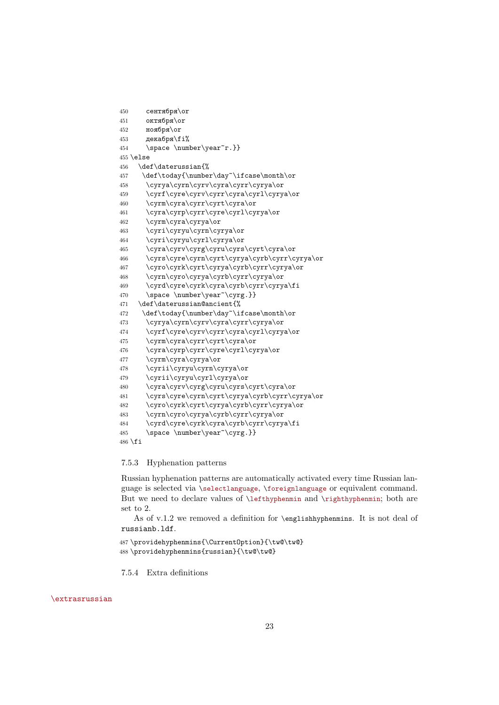```
450 сентября\or
451 октября\or
452 ноября\or
453 декабря\frac{1}{\ell}454 \space \number\year~r.}}
455 \else
456 \def\daterussian{%
457 \def\today{\number\day~\ifcase\month\or
458 \cyrya\cyrn\cyrv\cyra\cyrr\cyrya\or
459 \cyrf\cyre\cyrv\cyrr\cyra\cyrl\cyrya\or
460 \cyrm\cyra\cyrr\cyrt\cyra\or
461 \cyra\cyrp\cyrr\cyre\cyrl\cyrya\or
462 \cyrm\cyra\cyrya\or
463 \cyri\cyryu\cyrn\cyrya\or
464 \cyri\cyryu\cyrl\cyrya\or
465 \cyra\cyrv\cyrg\cyru\cyrs\cyrt\cyra\or
466 \cyrs\cyre\cyrn\cyrt\cyrya\cyrb\cyrr\cyrya\or
467 \cyro\cyrk\cyrt\cyrya\cyrb\cyrr\cyrya\or
468 \cyrn\cyro\cyrya\cyrb\cyrr\cyrya\or
469 \cyrd\cyre\cyrk\cyra\cyrb\cyrr\cyrya\fi
470 \space \number\year~\cyrg.}}
471 \def\daterussian@ancient{%
472 \def\today{\number\day~\ifcase\month\or
473 \cyrya\cyrn\cyrv\cyra\cyrr\cyrya\or
474 \cyrf\cyre\cyrv\cyrr\cyra\cyrl\cyrya\or
475 \cyrm\cyra\cyrr\cyrt\cyra\or
476 \cyra\cyrp\cyrr\cyre\cyrl\cyrya\or
477 \cyrm\cyra\cyrya\or
478 \cyrii\cyryu\cyrn\cyrya\or
479 \cyrii\cyryu\cyrl\cyrya\or
480 \cyra\cyrv\cyrg\cyru\cyrs\cyrt\cyra\or
481 \cyrs\cyre\cyrn\cyrt\cyrya\cyrb\cyrr\cyrya\or
482 \cyro\cyrk\cyrt\cyrya\cyrb\cyrr\cyrya\or
483 \cyrn\cyro\cyrya\cyrb\cyrr\cyrya\or
484 \cyrd\cyre\cyrk\cyra\cyrb\cyrr\cyrya\fi
485 \space \number\year~\cyrg.}}
486 \fi
```
### <span id="page-22-0"></span>7.5.3 Hyphenation patterns

Russian hyphenation patterns are automatically activated every time Russian language is selected via \selectlanguage, \foreignlanguage or equivalent command. But we need to declare values of \lefthyphenmin and \righthyphenmin; both are set to 2.

As of v.1.2 we removed a definition for \englishhyphenmins. It is not deal of russianb.ldf.

```
487 \providehyphenmins{\CurrentOption}{\tw@\tw@}
488 \providehyphenmins{russian}{\tw@\tw@}
```
<span id="page-22-1"></span>7.5.4 Extra definitions

### \extrasrussian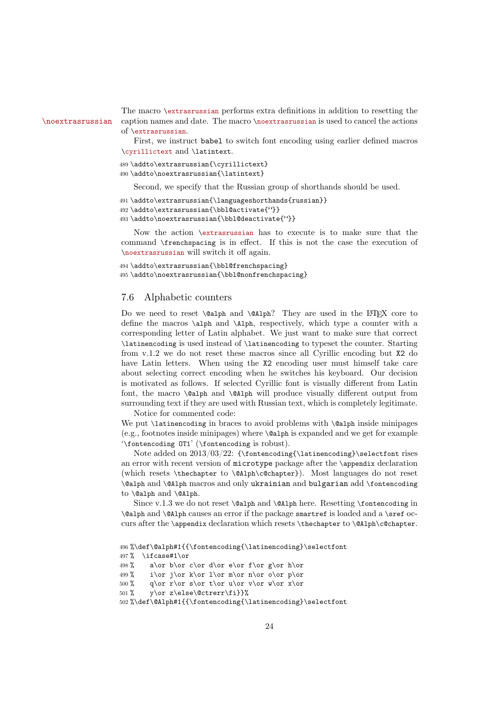The macro \extrasrussian performs extra definitions in addition to resetting the \noextrasrussian caption names and date. The macro \noextrasrussian is used to cancel the actions of \extrasrussian.

> First, we instruct babel to switch font encoding using earlier defined macros \cyrillictext and \latintext.

```
489 \addto\extrasrussian{\cyrillictext}
490 \addto\noextrasrussian{\latintext}
```
Second, we specify that the Russian group of shorthands should be used.

```
491 \addto\extrasrussian{\languageshorthands{russian}}
492 \addto\extrasrussian{\bbl@activate{"}}
493 \addto\noextrasrussian{\bbl@deactivate{"}}
```
Now the action \extrasrussian has to execute is to make sure that the command \frenchspacing is in effect. If this is not the case the execution of \noextrasrussian will switch it off again.

```
494 \addto\extrasrussian{\bbl@frenchspacing}
495 \addto\noextrasrussian{\bbl@nonfrenchspacing}
```
### 7.6 Alphabetic counters

Do we need to reset  $\alpha \dagger$  and  $\alpha$ ? They are used in the LATEX core to define the macros \alph and \Alph, respectively, which type a counter with a corresponding letter of Latin alphabet. We just want to make sure that correct \latinencoding is used instead of \latinencoding to typeset the counter. Starting from v.1.2 we do not reset these macros since all Cyrillic encoding but X2 do have Latin letters. When using the X2 encoding user must himself take care about selecting correct encoding when he switches his keyboard. Our decision is motivated as follows. If selected Cyrillic font is visually different from Latin font, the macro \@alph and \@Alph will produce visually different output from surrounding text if they are used with Russian text, which is completely legitimate. Notice for commented code:

We put *\latinencoding* in braces to avoid problems with *\@alph* inside minipages (e.g., footnotes inside minipages) where \@alph is expanded and we get for example '\fontencoding OT1' (\fontencoding is robust).

Note added on  $2013/03/22$ : {\fontencoding{\latinencoding}\selectfont rises an error with recent version of microtype package after the \appendix declaration (which resets \thechapter to \@Alph\c@chapter}). Most languages do not reset \@alph and \@Alph macros and only ukrainian and bulgarian add \fontencoding to \@alph and \@Alph.

Since v.1.3 we do not reset \@alph and \@Alph here. Resetting \fontencoding in  $\alpha$  alph and  $\alpha$  causes an error if the package smartref is loaded and a \sref occurs after the \appendix declaration which resets \thechapter to \@Alph\c@chapter.

```
496 %\def\@alph#1{{\fontencoding{\latinencoding}\selectfont
497 % \ifcase#1\or
498\% a\or b\or c\or d\or e\or f\or g\or h\or
499 % i\or j\or k\or l\or m\or n\or o\or p\or
500 % q\or r\or s\or t\or u\or v\or w\or x\or
501 % v\or z\else\@ctrerr\fi}}%
502 %\def\@Alph#1{{\fontencoding{\latinencoding}\selectfont
```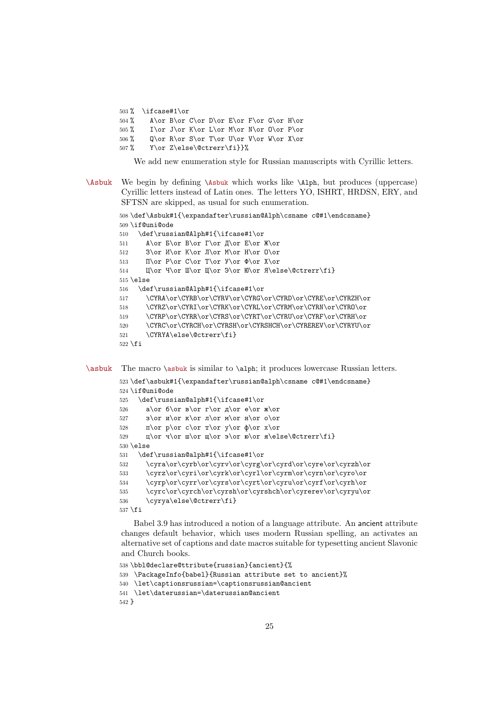503 % \ifcase#1\or 504 % A\or B\or C\or D\or E\or F\or G\or H\or 505 % I\or J\or K\or L\or M\or N\or O\or P\or 506 % Q\or R\or S\or T\or U\or V\or W\or X\or 507 % Y\or Z\else\@ctrerr\fi}}%

We add new enumeration style for Russian manuscripts with Cyrillic letters.

\Asbuk We begin by defining \Asbuk which works like \Alph, but produces (uppercase) Cyrillic letters instead of Latin ones. The letters YO, ISHRT, HRDSN, ERY, and SFTSN are skipped, as usual for such enumeration.

```
508 \def\Asbuk#1{\expandafter\russian@Alph\csname c@#1\endcsname}
509 \if@uni@ode
510 \def\russian@Alph#1{\ifcase#1\or
511 А\or Б\or В\or Г\or Д\or Е\or Ж\or
512 3\or M\or K\or J\or M\or H\or O\or
513 \Pi\or P\or C\or T\or Y\or \Phi\or X\or514 Ц\or Ч\or Ш\or Щ\or Э\or Ю\or Я\else\@ctrerr\fi}
515 \else
516 \def\russian@Alph#1{\ifcase#1\or
517 \CYRA\or\CYRB\or\CYRV\or\CYRG\or\CYRD\or\CYRE\or\CYRZH\or
518 \CYRZ\or\CYRI\or\CYRK\or\CYRL\or\CYRM\or\CYRN\or\CYRO\or
519 \CYRP\or\CYRR\or\CYRS\or\CYRT\or\CYRU\or\CYRF\or\CYRH\or
520 \CYRC\or\CYRCH\or\CYRSH\or\CYRSHCH\or\CYREREV\or\CYRYU\or
521 \CYRYA\else\@ctrerr\fi}
522 \fi
```
\asbuk The macro \asbuk is similar to \alph; it produces lowercase Russian letters.

```
523 \def\asbuk#1{\expandafter\russian@alph\csname c@#1\endcsname}
524 \if@uni@ode
525 \def\russian@alph#1{\ifcase#1\or
526 a\or 6\or B\or r\or A\or e\or x\or527 3\or \pi\or \pi\or \pi\or \pi\or \pi\or o\or
528 п\or p\or c\or \gamma\or y\or \phi\or x\or
529 \pi\or \pi\or \pi\or \pi\or \ so\or \ n\else\@ctrerr\fi530 \else
531 \def\russian@alph#1{\ifcase#1\or
532 \cyra\or\cyrb\or\cyrv\or\cyrg\or\cyrd\or\cyre\or\cyrzh\or
533 \cyrz\or\cyri\or\cyrk\or\cyrl\or\cyrm\or\cyrn\or\cyro\or
534 \cyrp\or\cyrr\or\cyrs\or\cyrt\or\cyru\or\cyrf\or\cyrh\or
535 \cyrc\or\cyrch\or\cyrsh\or\cyrshch\or\cyrerev\or\cyryu\or
536 \cyrya\else\@ctrerr\fi}
537 \fi
```
Babel 3.9 has introduced a notion of a language attribute. An ancient attribute changes default behavior, which uses modern Russian spelling, an activates an alternative set of captions and date macros suitable for typesetting ancient Slavonic and Church books.

```
538 \bbl@declare@ttribute{russian}{ancient}{%
539 \PackageInfo{babel}{Russian attribute set to ancient}%
540 \let\captionsrussian=\captionsrussian@ancient
541 \let\daterussian=\daterussian@ancient
542 }
```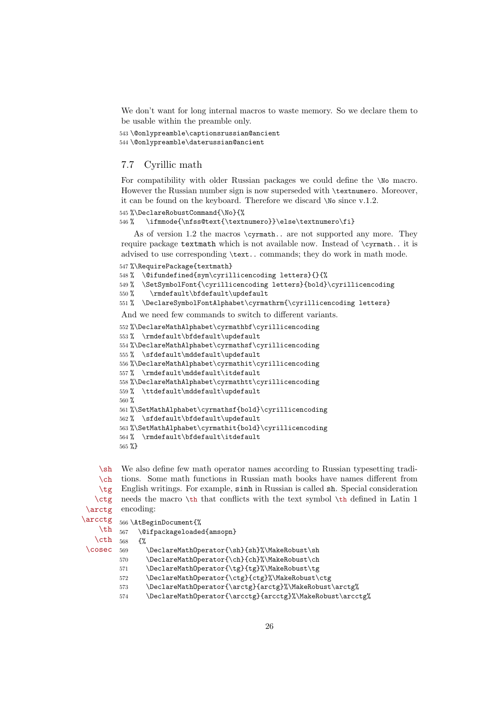We don't want for long internal macros to waste memory. So we declare them to be usable within the preamble only.

```
543 \@onlypreamble\captionsrussian@ancient
544 \@onlypreamble\daterussian@ancient
```
### 7.7 Cyrillic math

For compatibility with older Russian packages we could define the \No macro. However the Russian number sign is now superseded with \textnumero. Moreover, it can be found on the keyboard. Therefore we discard \No since v.1.2.

```
545 %\DeclareRobustCommand{\No}{%
```

```
546 % \ifmmode{\nfss@text{\textnumero}}\else\textnumero\fi}
```
As of version 1.2 the macros \cyrmath.. are not supported any more. They require package textmath which is not available now. Instead of \cyrmath.. it is advised to use corresponding \text.. commands; they do work in math mode.

```
547 %\RequirePackage{textmath}
```

```
548 % \@ifundefined{sym\cyrillicencoding letters}{}{%
```

```
549 % \SetSymbolFont{\cyrillicencoding letters}{bold}\cyrillicencoding
```
550 % \rmdefault\bfdefault\updefault

```
551 % \DeclareSymbolFontAlphabet\cyrmathrm{\cyrillicencoding letters}
```
And we need few commands to switch to different variants.

```
552 %\DeclareMathAlphabet\cyrmathbf\cyrillicencoding
553 % \rmdefault\bfdefault\updefault
554 %\DeclareMathAlphabet\cyrmathsf\cyrillicencoding
555 % \sfdefault\mddefault\updefault
556 %\DeclareMathAlphabet\cyrmathit\cyrillicencoding
557 % \rmdefault\mddefault\itdefault
558 %\DeclareMathAlphabet\cyrmathtt\cyrillicencoding
559 % \ttdefault\mddefault\updefault
560 %
561 %\SetMathAlphabet\cyrmathsf{bold}\cyrillicencoding
562 % \sfdefault\bfdefault\updefault
563 %\SetMathAlphabet\cyrmathit{bold}\cyrillicencoding
564 % \rmdefault\bfdefault\itdefault
565 %}
```
 $\mathsf{h}$  $\ch$ \tg \ctg \arctg We also define few math operator names according to Russian typesetting tradi tions. Some math functions in Russian math books have names different from English writings. For example, sinh in Russian is called sh. Special consideration needs the macro \th that conflicts with the text symbol \th defined in Latin 1 encoding:

```
\arcctg
```

```
\th
     566 \AtBeginDocument{%
     567 \@ifpackageloaded{amsopn}
```

```
\cth
\cosec
       568 {%
```
569 \DeclareMathOperator{\sh}{sh}%\MakeRobust\sh

```
570 \DeclareMathOperator{\ch}{ch}%\MakeRobust\ch
```

```
571 \DeclareMathOperator{\tg}{tg}%\MakeRobust\tg
```

```
572 \DeclareMathOperator{\ctg}{ctg}%\MakeRobust\ctg
```

```
573 \DeclareMathOperator{\arctg}{arctg}%\MakeRobust\arctg%
```

```
574 \DeclareMathOperator{\arcctg}{arcctg}%\MakeRobust\arcctg%
```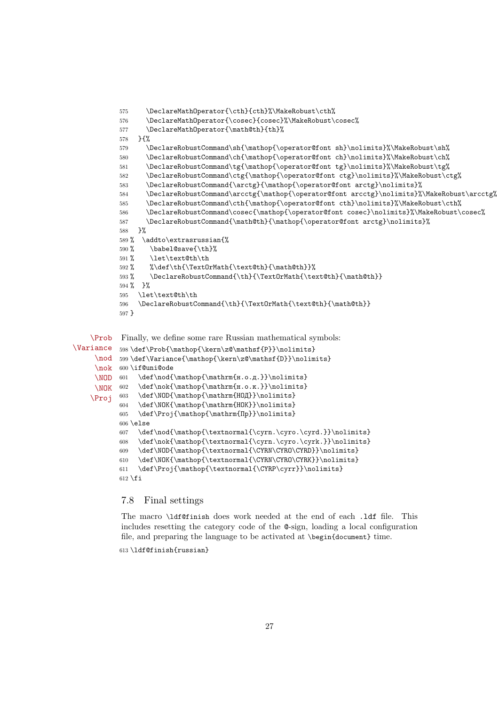```
575 \DeclareMathOperator{\cth}{cth}%\MakeRobust\cth%
576 \DeclareMathOperator{\cosec}{cosec}%\MakeRobust\cosec%
577 \DeclareMathOperator{\math@th}{th}%
578 }{%
579 \DeclareRobustCommand\sh{\mathop{\operator@font sh}\nolimits}%\MakeRobust\sh%
580 \DeclareRobustCommand\ch{\mathop{\operator@font ch}\nolimits}%\MakeRobust\ch%
581 \DeclareRobustCommand\tg{\mathop{\operator@font tg}\nolimits}%\MakeRobust\tg%
582 \DeclareRobustCommand\ctg{\mathop{\operator@font ctg}\nolimits}%\MakeRobust\ctg%
583 \DeclareRobustCommand{\arctg}{\mathop{\operator@font arctg}\nolimits}%
584 \DeclareRobustCommand\arcctg{\mathop{\operator@font arcctg}\nolimits}%\MakeRobust\arcctg%
585 \DeclareRobustCommand\cth{\mathop{\operator@font cth}\nolimits}%\MakeRobust\cth%
586 \label{thm:1} $$\DeclarehobustCommand\cosec{\mathbf{\operatortt{cont} cosec}\nolimits}\MakeRobust\cosec\587 \DeclareRobustCommand{\math@th}{\mathop{\operator@font arctg}\nolimits}%
588 }%
589 % \addto\extrasrussian{%
590 % \babel@save{\th}%
591 % \let\text@th\th
592 % %\def\th{\TextOrMath{\text@th}{\math@th}}%
593 % \DeclareRobustCommand{\th}{\TextOrMath{\text@th}{\math@th}}
594 % }%
595 \let\text@th\th
596 \DeclareRobustCommand{\th}{\TextOrMath{\text@th}{\math@th}}
597 }
```

```
\Prob
Finally, we define some rare Russian mathematical symbols:
```

```
\Variance
     \nod 599\def\Variance{\mathop{\kern\z@\mathsf{D}}\nolimits}
     \nok
600 \if@uni@ode
     \NOD 601
     \NOK 602
    \Proj
           598\def\Prob{\mathop{\kern\z@\mathsf{P}}\nolimits}
                 \def\nod{\mathop{\mathrm{н.о.д.}}\nolimits}
                 \label{thm:main} $$\def\n0k{\math\mathp{\mathbf{H.o.K.}}\nolimits} \nolimits \,603 \def\NOD{\mathop{\mathrm{НОД}}\nolimits}
            604 \def\NOK{\mathop{\mathrm{HOK}}\nolimits}
            605 \def\Proj{\mathop{\mathrm{Пр}}\nolimits}
            606 \else
            607 \def\nod{\mathop{\textnormal{\cyrn.\cyro.\cyrd.}}\nolimits}
            608 \def\nok{\mathop{\textnormal{\cyrn.\cyro.\cyrk.}}\nolimits}
            609 \def\NOD{\mathop{\textnormal{\CYRN\CYRO\CYRD}}\nolimits}
            610 \def\NOK{\mathop{\textnormal{\CYRN\CYRO\CYRK}}\nolimits}
            611 \def\Proj{\mathop{\textnormal{\CYRP\cyrr}}\nolimits}
            612 \fi
```
### 7.8 Final settings

The macro \ldf@finish does work needed at the end of each .ldf file. This includes resetting the category code of the @-sign, loading a local configuration file, and preparing the language to be activated at \begin{document} time.

613 \ldf@finish{russian}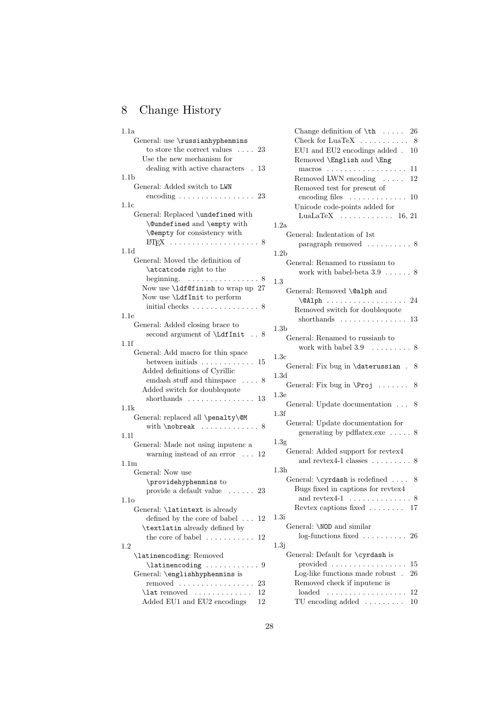# <span id="page-27-0"></span>8 Change History

| 1.1a                                             |                |
|--------------------------------------------------|----------------|
| General: use \russianhyphenmins                  |                |
| to store the correct values $\ldots$ 23          |                |
| Use the new mechanism for                        |                |
| dealing with active characters . 13              |                |
| 1.1 <sub>b</sub>                                 |                |
| General: Added switch to LWN                     |                |
| encoding $\ldots \ldots \ldots \ldots \ldots 23$ |                |
| 1.1c                                             |                |
| General: Replaced \undefined with                |                |
| \@undefined and \empty with                      | 1              |
| <b>\@empty</b> for consistency with              |                |
|                                                  |                |
| 1.1d                                             | 1              |
| General: Moved the definition of                 |                |
| \atcatcode right to the                          |                |
| beginning.<br>. 8                                | $\overline{1}$ |
| Now use \ldf@finish to wrap up 27                |                |
| Now use <i>\LdfInit to perform</i>               |                |
| initial checks $\dots \dots \dots \dots \dots$ 8 |                |
| 1.1e                                             |                |
| General: Added closing brace to                  | 1              |
| second argument of \LdfInit  8                   |                |
| 1.1f                                             |                |
| General: Add macro for thin space                | $\mathbf{1}$   |
| between initials $\ldots \ldots \ldots$<br>15    |                |
| Added definitions of Cyrillic                    |                |
| emdash stuff and thin<br>space $\ldots$ . 8      | 1              |
| Added switch for doublequote                     |                |
| shorthands $\ldots \ldots \ldots \ldots 13$      | 1              |
| 1.1k                                             |                |
| General: replaced all \penalty\@M                | 1              |
| with $\backslash$ nobreak  8                     |                |
| 1.11                                             |                |
| General: Made not using inputenc a               | 1              |
| warning instead of an error $\ldots$ 12          |                |
| 1.1 <sub>m</sub>                                 |                |
| General: Now use                                 | 1              |
| \providehyphenmins to                            |                |
| provide a default value $\ldots \ldots$ 23       |                |
| 1.1 <sub>o</sub>                                 |                |
| General: \latintext is already                   |                |
| defined by the core of babel $\dots$             | 1<br>12        |
| \textlatin already defined by                    |                |
| the core of babel $\dots \dots \dots$            | 12             |
| 1.2                                              | 1              |
| \latinencoding: Removed                          |                |
| $\lambda$ : $\lambda$ 9                          |                |
| General: \englishhyphenmins is                   |                |
| removed  23                                      |                |
| $\lambda$ removed                                | 12             |
| Added EU1 and EU2 encodings 12                   |                |

| Change definition of $\th$<br>26                                |
|-----------------------------------------------------------------|
| Check for LuaTeX $\dots \dots \dots$ 8                          |
| EU1 and EU2 encodings added.<br>10<br>Removed \English and \Eng |
| $macros \ldots \ldots \ldots \ldots \ldots \ldots$<br>11        |
| Removed LWN encoding $\dots$<br>12                              |
| Removed test for present of                                     |
| encoding files $\dots \dots \dots$<br>10                        |
| Unicode code-points added for                                   |
| LuaLaTeX $\ldots \ldots \ldots \ldots 16, 21$                   |
| 1.2a                                                            |
| General: Indentation of 1st                                     |
| paragraph removed $\ldots \ldots \ldots 8$                      |
| 1.2 <sub>b</sub>                                                |
| General: Renamed to russianu to                                 |
| work with babel-beta $3.9 \ldots 8$                             |
| 1.3                                                             |
| General: Removed \@alph and                                     |
| 24<br>$\alpha$ lph                                              |
| Removed switch for doublequote                                  |
| shorthands $\dots \dots \dots \dots$<br>13                      |
| 1.3 <sub>b</sub>                                                |
| General: Renamed to russianb to                                 |
| work with babel $3.9 \ldots \ldots \ldots 8$                    |
| 1.3c                                                            |
| General: Fix bug in \daterussian.<br>8                          |
| 1.3d                                                            |
| General: Fix bug in $\Peroj$<br>8                               |
| 1.3e                                                            |
| General: Update documentation<br>8                              |
| 1.3f                                                            |
| General: Update documentation for                               |
| generating by pdflatex.exe $\dots$ . 8                          |
| 1.3 <sub>g</sub>                                                |
| General: Added support for revtex4                              |
| and reviex4-1 classes $\dots \dots$<br>8                        |
| 1.3 <sub>h</sub>                                                |
| General: $\cyrdash$ is redefined<br>8                           |
| Bugs fixed in captions for revtex4                              |
| and revtex4-1 $\dots$ .<br>8                                    |
| Reviex captions fixed $\ldots \ldots \ldots 17$                 |
| 1.3i                                                            |
| General: \NOD and similar                                       |
| $log$ -functions fixed  26                                      |
| 1.3j                                                            |
| General: Default for \cyrdash is                                |
| provided<br>15                                                  |
| Log-like functions made robust.<br>26                           |
| Removed check if inputenc is                                    |
|                                                                 |

TU encoding added . . . . . . . . . 10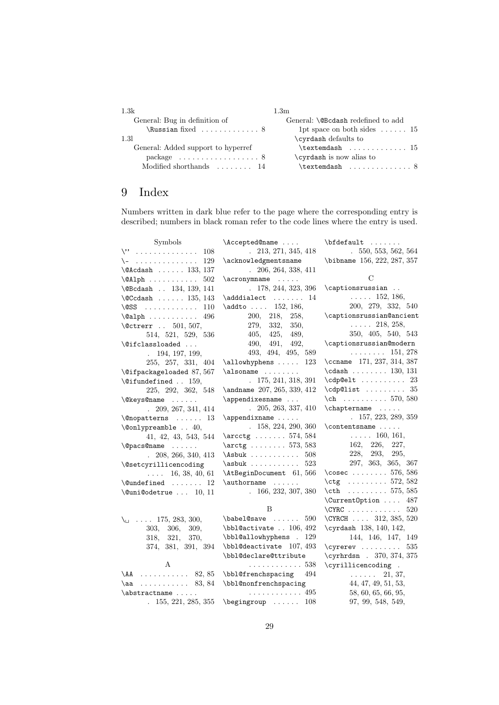| 1.3k                                            | $1.3\mathrm{m}$                          |
|-------------------------------------------------|------------------------------------------|
| General: Bug in definition of                   | General: \@Bcdash redefined to add       |
| $\lambda$ 8                                     | 1pt space on both sides $\dots \dots 15$ |
| 1.31                                            | \cyrdash defaults to                     |
| General: Added support to hyperref              | $\texttt{\texttt{textendash}}$ $15$      |
| $package \dots \dots \dots \dots \dots \dots 8$ | \cyrdash is now alias to                 |
| Modified shorthands $\dots \dots 14$            | $\texttt{\texttt{textendash}}$ 8         |

## <span id="page-28-0"></span>9 Index

Numbers written in dark blue refer to the page where the corresponding entry is described; numbers in black roman refer to the code lines where the entry is used.

| Symbols                              | \Accepted@name                          | $\boldsymbol{\theta}$                        |
|--------------------------------------|-----------------------------------------|----------------------------------------------|
| $\vee$ 108                           | 213, 271, 345, 418<br>$\mathbf{r}$      | 550, 553, 562, 564<br>i.                     |
| \-<br>129                            | \acknowledgmentsname                    | \bibname 156, 222, 287, 357                  |
| $\Delta$ sadash  133, 137            | $. \ 206, 264, 338, 411$                |                                              |
| 502                                  | $\acronymname$                          | С                                            |
| \@Bcdash  134, 139, 141              | . 178, 244, 323, 396                    | \captionsrussian                             |
| $\text{CCdash} \dots 135, 143$       | $\adddialect \dots \dots$<br>14         | $\ldots$ . 152, 186,                         |
| $\setminus$ ess<br>110               | \addto  152, 186,                       | 200, 279, 332, 540                           |
| $\alpha$ lph<br>496                  | 200,<br>218,<br>258,                    | \captionsrussian@ancient                     |
| \@ctrerr  501, 507,                  | 279, 332,<br>350,                       | $\ldots$ 218, 258,                           |
| 514, 521, 529, 536                   | 405, 425,<br>489,                       | 350, 405, 540, 543                           |
| \@ifclassloaded                      | 490,<br>491,<br>492,                    | \captionsrussian@modern                      |
| . 194, 197, 199,                     | 493, 494, 495, 589                      | $\ldots \ldots 151, 278$                     |
| 255, 257, 331, 404                   | $\alpha$<br>123                         | \ccname 171, 237, 314, 387                   |
| \@ifpackageloaded 87,567             | $\lambda$ $\lambda$                     | $\cdots$ 130, 131                            |
| $\setminus$ Cifundefined  159,       | .175, 241, 318, 391                     | $\cdp@elt \ldots$ 23                         |
| 225, 292, 362, 548                   | \andname 207, 265, 339, 412             | $\cosh 35$                                   |
| \@keys@name                          | $\apph{\text{opendixesname}}$           | $\ch$ 570, 580                               |
| $. \quad 209, 267, 341, 414$         | $. \quad 205, 263, 337, 410$            | $\Lambda$                                    |
| $\Omega$ : $\Omega$ 13               | $\operatorname{Lappendixname}$          | . 157, 223, 289, 359                         |
| \@onlypreamble  40,                  | 158, 224, 290, 360                      | $\{\text{contentsmame} \dots \dots \}$       |
| 41, 42, 43, 543, 544                 | $\arcctg$ 574, 584                      | $\ldots$ . 160, 161,                         |
| <b>Qpacs@name</b>                    | $\arctg$ 573, 583                       | 162, 226,<br>227,                            |
| $. \ 208, 266, 340, 413$             | $\Lambda$ sbuk<br>508                   | 228, 293,<br>295,                            |
| \@setcyrillicencoding                | 523<br>$\a$ sbuk                        | 297, 363, 365, 367                           |
| $\ldots$ 16, 38, 40, 61              | \AtBeginDocument 61,566                 | \cosec $576, 586$                            |
| $\text{Qundefined} \dots \dots \ 12$ |                                         | \ctg 572, 582                                |
| $\text{Quni@odetrue} \dots 10, 11$   | .166, 232, 307, 380                     | $\text{t}$ 575, 585                          |
|                                      |                                         | \CurrentOption<br>487                        |
|                                      | B                                       | $\C{YRC}$<br>520                             |
| $\setminus$ 175, 283, 300,           | $\bablel@save \ldots$<br>590            | \CYRCH 312, 385, 520                         |
| 306,<br>303,<br>309.                 | $\bb{0}$ activate  106, 492             | \cyrdash 138, 140, 142,                      |
| 318, 321,<br>370,                    | \bbl@allowhyphens . 129                 | 144, 146, 147, 149                           |
| 374, 381, 391, 394                   | \bbl@deactivate 107, 493                | $\qquad \ldots \ldots$<br>535                |
|                                      | \bbl@declare@ttribute                   | \cyrhrdsn . 370, 374, 375                    |
| A                                    | . 538                                   | \cyrillicencoding .                          |
| $\Delta A$ 82, 85                    | \bbl@frenchspacing<br>494               | 21, 37,<br><b>Contract Contract Contract</b> |
| . 83, 84<br>\aa                      | \bbl@nonfrenchspacing                   | 44, 47, 49, 51, 53,                          |
| \abstractname                        | . 495                                   | 58, 60, 65, 66, 95,                          |
|                                      | . $155, 221, 285, 355$ \begingroup  108 | 97, 99, 548, 549,                            |
|                                      |                                         |                                              |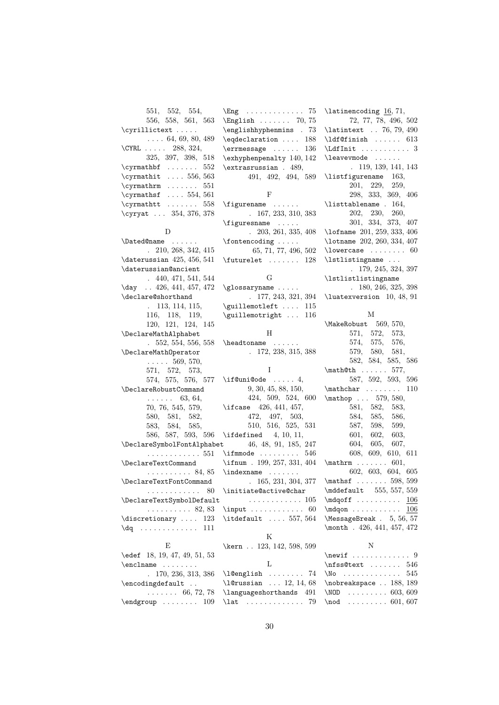551, 552, 554, 556, 558, 561, 563 \cyrillictext . . . . . . . . . 64, 69, 80, 489 \CYRL . . . . . 288, 324, 325, 397, 398, 518 \cyrmathbf ....... 552 \cyrmathit .... 556, 563  $\qquad \ldots$  . . . . . . 551 \cyrmathsf .... 554, 561  $\qquad$  ...... 558 \cyryat . . . 354, 376, 378 D \Dated@name . . . . . . . 210, 268, 342, 415 \daterussian 425, 456, 541 \daterussian@ancient . 440, 471, 541, 544 \day . . 426, 441, 457, 472 \declare@shorthand . 113, 114, 115, 116, 118, 119, 120, 121, 124, 145 \DeclareMathAlphabet . 552, 554, 556, 558 \DeclareMathOperator  $\ldots$  . 569, 570, 571, 572, 573, 574, 575, 576, 577 \DeclareRobustCommand  $\cdots$  . . . . 63, 64. 70, 76, 545, 579, 580, 581, 582, 583, 584, 585, 586, 587, 593, 596 \ifdefined 4, 10, 11, \DeclareSymbolFontAlphabet . . . . . . . . . . . . 551 \DeclareTextCommand . . . . . . . . . . 84, 85 \DeclareTextFontCommand . . . . . . . . . . . . 80 \DeclareTextSymbolDefault \discretionary .... 123 \dq . . . . . . . . . . . . . 111 E \edef 18, 19, 47, 49, 51, 53 \enclname . . . . . . . . . 170, 236, 313, 386 \encodingdefault .. . . . . . . . 66, 72, 78  $\end{group}$ ......  $109$ \lat . . . . . . . . . . . . . 79

. . . . . . . . . . 82, 83 \input . . . . . . . . . . . 60 \Eng . . . . . . . . . . . . . 75 \English . . . . . . . 70, 75 \englishhyphenmins . 73 \eqdeclaration .... 188  $\text{terms}$ sage ...... 136 \exhyphenpenalty 140, 142 \extrasrussian . 489, 491, 492, 494, 589 F \figurename . . . . . . . 167, 233, 310, 383 \figuresname ..... . 203, 261, 335, 408 \fontencoding . . . . . 65, 71, 77, 496, 502  $\{\text{futurelet} \dots \dots \ 128\}$ G  $\verb|\glossaryname| \ldots.$ . 177, 243, 321, 394 \guillemotleft .... 115 \guillemotright ... 116 H \headtoname . . . . . . . 172, 238, 315, 388 I  $\iint@uni@ode$  ..... 4, 9, 30, 45, 88, 150, 424, 509, 524, 600 \ifcase 426, 441, 457, 472, 497, 503, 510, 516, 525, 531 46, 48, 91, 185, 247 \ifmmode ........ 546 \ifnum . 199, 257, 331, 404 \indexname . . . . . . . . 165, 231, 304, 377 \initiate@active@char . . . . . . . . . . . . 105 \itdefault .... 557, 564 K \kern . . 123, 142, 598, 599 L \l@english . . . . . . . . 74 \l@russian . . . 12, 14, 68 \languageshorthands 491

\latinencoding 16, 71, 72, 77, 78, 496, 502 \latintext . . 76, 79, 490 \ldf@finish . . . . . . 613 \LdfInit . . . . . . . . . . 3 \leavevmode ...... . 119, 139, 141, 143 \listfigurename 163, 201, 229, 259, 298, 333, 369, 406 \listtablename . 164, 202, 230, 260, 301, 334, 373, 407 \lofname 201, 259, 333, 406 \lotname 202, 260, 334, 407  $\text{lowercase} \dots \dots \ 60$ \lstlistingname . . . . 179, 245, 324, 397 \lstlistlistingname . 180, 246, 325, 398 \luatexversion 10, 48, 91 M \MakeRobust 569, 570, 571, 572, 573, 574, 575, 576, 579, 580, 581, 582, 584, 585, 586 \math@th . . . . . . 577, 587, 592, 593, 596 \mathchar . . . . . . . . 110 \mathop . . . 579, 580, 581, 582, 583, 584, 585, 586, 587, 598, 599, 601, 602, 603, 604, 605, 607, 608, 609, 610, 611  $\mathbf{m}$  . . . . . . . 601, 602, 603, 604, 605 \mathsf ....... 598, 599 \mddefault 555, 557, 559 \mdqoff ......... <u>106</u> \mdqon . . . . . . . . . . . 106 \MessageBreak . 5, 56, 57 \month . 426, 441, 457, 472 N  $\neq$  . . . . . . . . . . . . . 9  $\n\frac{\text{st}}{\text{st}} \ldots \ldots \quad 546$ \No . . . . . . . . . . . . . 545 \nobreakspace . . 188, 189 \NOD . . . . . . . . . 603, 609  $\mod$  . . . . . . . . . 601, 607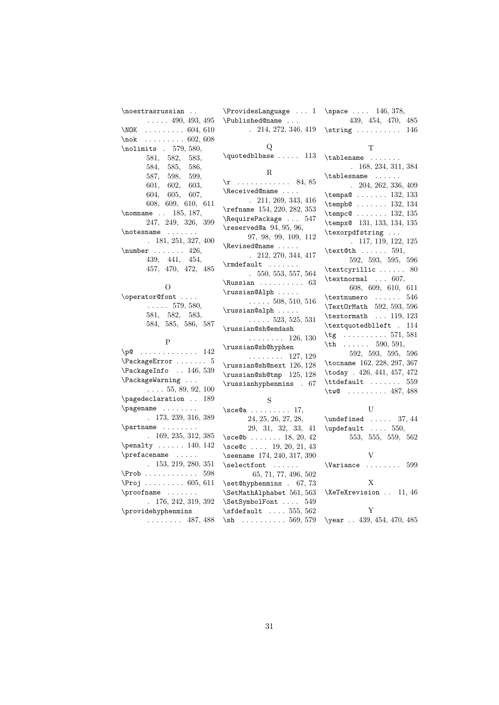\noextrasrussian ..  $\ldots$  . 490, 493, 495 \NOK . . . . . . . . . 604, 610  $\backslash$ nok . . . . . . . . . 602, 608 \nolimits . 579, 580, 581, 582, 583, 584, 585, 586, 587, 598, 599, 601, 602, 603, 604, 605, 607, 608, 609, 610, 611 \nomname . . 185, 187, 247, 249, 326, 399 \notesname . . . . . . . . 181, 251, 327, 400  $\text{number} \dots 426,$ 439, 441, 454, 457, 470, 472, 485 O \operator@font . . . .  $\ldots$  . 579, 580,

581, 582, 583, 584, 585, 586, 587

### P

| $\pi$ 142                       |
|---------------------------------|
| $\P$ ackage $Error$ $5$         |
| \PackageInfo  146, 539          |
| \PackageWarning                 |
| $\ldots$ 55, 89, 92, 100        |
| \pagedeclaration  189           |
| \pagename                       |
| . 173, 239, 316, 389            |
| $\partial$                      |
| 169, 235, 312, 385              |
| $\penalty \dots 140, 142$       |
| \prefacename                    |
| . 153, 219, 280, 351            |
| $\P$ rob $598$                  |
| $\Proj$ 605, 611                |
| $\propto$                       |
| . 176, 242, 319, 392            |
| \providehyphenmins              |
| $\cdots \cdots \cdots$ 487, 488 |
|                                 |

\ProvidesLanguage ... 1 \space .... 146, 378, \Published@name . . . . 214, 272, 346, 419  $\Omega$  $\label{thm:q}$ R  $\rm\,$  . . . . . . . . . . . . 84, 85

\Received@name . . . . . 211, 269, 343, 416 \refname 154, 220, 282, 353 \RequirePackage . . . 547 \reserved@a 94, 95, 96, 97, 98, 99, 109, 112 \Revised@name . . . . . . 212, 270, 344, 417 \rmdefault ....... . 550, 553, 557, 564  $\N$ ussian . . . . . . . . . . 63 \russian@Alph . . . . .  $\ldots$  . 508, 510, 516 \russian@alph . . . . .  $\ldots$  . . . 523, 525, 531 \russian@sh@emdash . . . . . . . . 126, 130 \russian@sh@hyphen . . . . . . . . 127, 129 \russian@sh@next 126, 128 \russian@sh@tmp 125, 128 \russianhyphenmins . 67 S \sce@a . . . . . . . . . 17, 24, 25, 26, 27, 28, 29, 31, 32, 33, 41 \sce@b ....... 18, 20, 42 \sce@c . . . . 19, 20, 21, 43 \seename 174, 240, 317, 390 \selectfont ......

| 65, 71, 77, 496, 502               |
|------------------------------------|
| $\setminus$ set@hyphenmins . 67,73 |
| \SetMathAlphabet 561, 563          |
| \SetSymbolFont  549                |
| $\setminus$ sfdefault  555, 562    |
| $\binom{569}{579}$                 |

439, 454, 470, 485  $\scriptsize\textsf{\,string}$  ......... 146 T \tablename . . . . . . . . 168, 234, 311, 384 \tablesname . . . . . . . 204, 262, 336, 409 \tempa@ . . . . . . . 132, 133 \tempb@ . . . . . . . 132, 134 \tempc@ . . . . . . 132, 135 \tempx@ 131, 133, 134, 135 \texorpdfstring ... . 117, 119, 122, 125  $\text{\texttt{t}} \ldots$  591, 592, 593, 595, 596  $\text{cyrillic} \dots$  . . . . . 80 \textnormal ... 607, 608, 609, 610, 611 \textnumero . . . . . . 546 \TextOrMath 592, 593, 596 \textormath ... 119, 123 \textquotedblleft . 114 \tg . . . . . . . . . . 571, 581  $\th$  . . . . . . 590, 591, 592, 593, 595, 596 \tocname 162, 228, 297, 367 \today . 426, 441, 457, 472  $\text{tdefault} \dots \dots \ 559$ \tw@ ........ 487, 488 U  $\undefined$  ..... 37, 44  $\upd$ efault .... 550,

553, 555, 559, 562

V \Variance ....... 599 X

\XeTeXrevision . . 11, 46 Y \year . . 439, 454, 470, 485